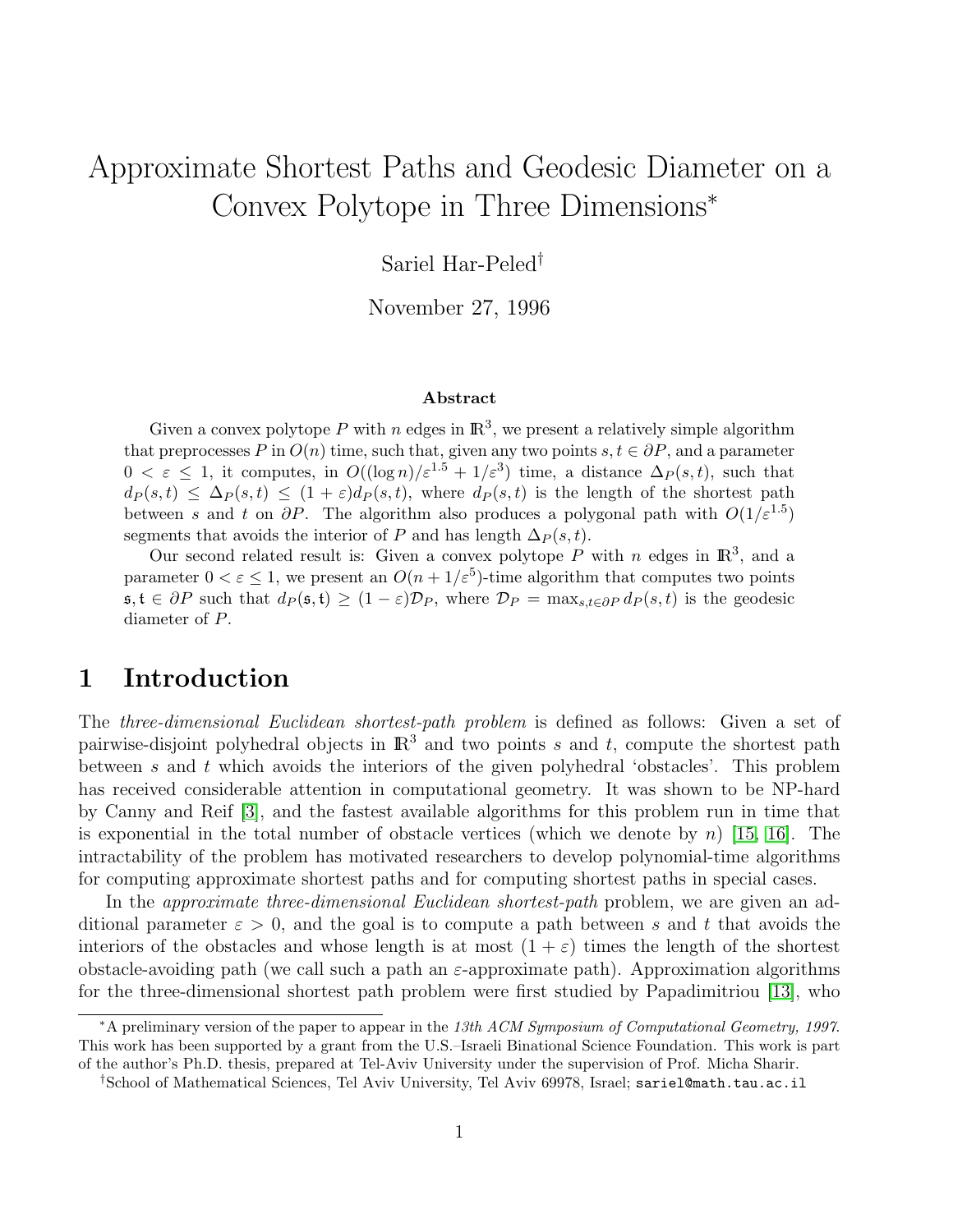# Approximate Shortest Paths and Geodesic Diameter on a Convex Polytope in Three Dimensions<sup>∗</sup>

Sariel Har-Peled†

November 27, 1996

#### Abstract

Given a convex polytope P with n edges in  $\mathbb{R}^3$ , we present a relatively simple algorithm that preprocesses P in  $O(n)$  time, such that, given any two points  $s, t \in \partial P$ , and a parameter  $0 < \varepsilon \leq 1$ , it computes, in  $O((\log n)/\varepsilon^{1.5} + 1/\varepsilon^3)$  time, a distance  $\Delta_P(s,t)$ , such that  $d_P(s,t) \leq \Delta_P(s,t) \leq (1+\varepsilon)d_P(s,t)$ , where  $d_P(s,t)$  is the length of the shortest path between s and t on  $\partial P$ . The algorithm also produces a polygonal path with  $O(1/\varepsilon^{1.5})$ segments that avoids the interior of P and has length  $\Delta_P(s,t)$ .

Our second related result is: Given a convex polytope P with n edges in  $\mathbb{R}^3$ , and a parameter  $0 < \varepsilon \leq 1$ , we present an  $O(n + 1/\varepsilon^5)$ -time algorithm that computes two points  $s, t \in \partial P$  such that  $d_P(s, t) \geq (1 - \varepsilon) \mathcal{D}_P$ , where  $\mathcal{D}_P = \max_{s,t \in \partial P} d_P(s,t)$  is the geodesic diameter of P.

## 1 Introduction

The three-dimensional Euclidean shortest-path problem is defined as follows: Given a set of pairwise-disjoint polyhedral objects in  $\mathbb{R}^3$  and two points s and t, compute the shortest path between s and t which avoids the interiors of the given polyhedral 'obstacles'. This problem has received considerable attention in computational geometry. It was shown to be NP-hard by Canny and Reif [\[3\]](#page-13-0), and the fastest available algorithms for this problem run in time that is exponential in the total number of obstacle vertices (which we denote by n) [\[15,](#page-14-0) [16\]](#page-14-1). The intractability of the problem has motivated researchers to develop polynomial-time algorithms for computing approximate shortest paths and for computing shortest paths in special cases.

In the *approximate three-dimensional Euclidean shortest-path* problem, we are given an additional parameter  $\varepsilon > 0$ , and the goal is to compute a path between s and t that avoids the interiors of the obstacles and whose length is at most  $(1 + \varepsilon)$  times the length of the shortest obstacle-avoiding path (we call such a path an  $\varepsilon$ -approximate path). Approximation algorithms for the three-dimensional shortest path problem were first studied by Papadimitriou [\[13\]](#page-14-2), who

<sup>∗</sup>A preliminary version of the paper to appear in the 13th ACM Symposium of Computational Geometry, 1997. This work has been supported by a grant from the U.S.–Israeli Binational Science Foundation. This work is part of the author's Ph.D. thesis, prepared at Tel-Aviv University under the supervision of Prof. Micha Sharir.

<sup>†</sup>School of Mathematical Sciences, Tel Aviv University, Tel Aviv 69978, Israel; sariel@math.tau.ac.il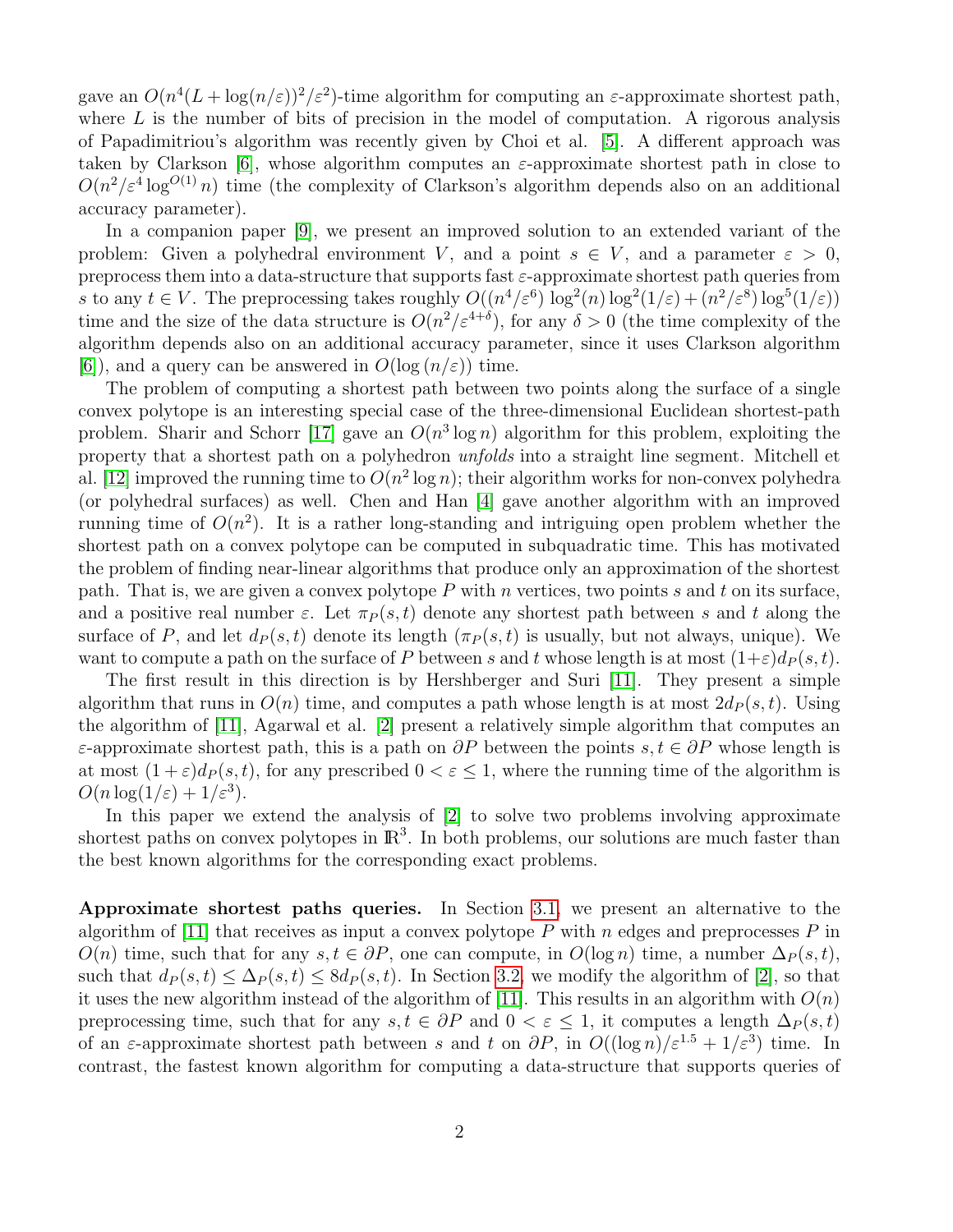gave an  $O(n^4(L + \log(n/\varepsilon))^2/\varepsilon^2)$ -time algorithm for computing an  $\varepsilon$ -approximate shortest path, where  $L$  is the number of bits of precision in the model of computation. A rigorous analysis of Papadimitriou's algorithm was recently given by Choi et al. [\[5\]](#page-13-1). A different approach was taken by Clarkson [\[6\]](#page-13-2), whose algorithm computes an  $\varepsilon$ -approximate shortest path in close to  $O(n^2/\varepsilon^4 \log^{O(1)} n)$  time (the complexity of Clarkson's algorithm depends also on an additional accuracy parameter).

In a companion paper [\[9\]](#page-13-3), we present an improved solution to an extended variant of the problem: Given a polyhedral environment V, and a point  $s \in V$ , and a parameter  $\varepsilon > 0$ , preprocess them into a data-structure that supports fast  $\varepsilon$ -approximate shortest path queries from s to any  $t \in V$ . The preprocessing takes roughly  $O((n^4/\varepsilon^6) \log^2(n) \log^2(1/\varepsilon) + (n^2/\varepsilon^8) \log^5(1/\varepsilon))$ time and the size of the data structure is  $O(n^2/\varepsilon^{4+\delta})$ , for any  $\delta > 0$  (the time complexity of the algorithm depends also on an additional accuracy parameter, since it uses Clarkson algorithm [\[6\]](#page-13-2)), and a query can be answered in  $O(\log(n/\varepsilon))$  time.

The problem of computing a shortest path between two points along the surface of a single convex polytope is an interesting special case of the three-dimensional Euclidean shortest-path problem. Sharir and Schorr [\[17\]](#page-14-3) gave an  $O(n^3 \log n)$  algorithm for this problem, exploiting the property that a shortest path on a polyhedron unfolds into a straight line segment. Mitchell et al. [\[12\]](#page-14-4) improved the running time to  $O(n^2 \log n)$ ; their algorithm works for non-convex polyhedra (or polyhedral surfaces) as well. Chen and Han [\[4\]](#page-13-4) gave another algorithm with an improved running time of  $O(n^2)$ . It is a rather long-standing and intriguing open problem whether the shortest path on a convex polytope can be computed in subquadratic time. This has motivated the problem of finding near-linear algorithms that produce only an approximation of the shortest path. That is, we are given a convex polytope  $P$  with n vertices, two points s and t on its surface, and a positive real number  $\varepsilon$ . Let  $\pi_P(s, t)$  denote any shortest path between s and t along the surface of P, and let  $d_P(s, t)$  denote its length  $(\pi_P(s, t))$  is usually, but not always, unique). We want to compute a path on the surface of P between s and t whose length is at most  $(1+\varepsilon)d_P(s,t)$ .

The first result in this direction is by Hershberger and Suri [\[11\]](#page-14-5). They present a simple algorithm that runs in  $O(n)$  time, and computes a path whose length is at most  $2d_P(s, t)$ . Using the algorithm of [\[11\]](#page-14-5), Agarwal et al. [\[2\]](#page-13-5) present a relatively simple algorithm that computes an  $\varepsilon$ -approximate shortest path, this is a path on  $\partial P$  between the points  $s, t \in \partial P$  whose length is at most  $(1+\varepsilon)d_P(s,t)$ , for any prescribed  $0 < \varepsilon \leq 1$ , where the running time of the algorithm is  $O(n \log(1/\varepsilon) + 1/\varepsilon^3).$ 

In this paper we extend the analysis of [\[2\]](#page-13-5) to solve two problems involving approximate shortest paths on convex polytopes in  $\mathbb{R}^3$ . In both problems, our solutions are much faster than the best known algorithms for the corresponding exact problems.

Approximate shortest paths queries. In Section [3.1,](#page-4-0) we present an alternative to the algorithm of [\[11\]](#page-14-5) that receives as input a convex polytope  $P$  with  $n$  edges and preprocesses  $P$  in  $O(n)$  time, such that for any  $s, t \in \partial P$ , one can compute, in  $O(\log n)$  time, a number  $\Delta_P(s, t)$ , such that  $d_P(s, t) \leq \Delta_P(s, t) \leq 8d_P(s, t)$ . In Section [3.2,](#page-8-0) we modify the algorithm of [\[2\]](#page-13-5), so that it uses the new algorithm instead of the algorithm of [\[11\]](#page-14-5). This results in an algorithm with  $O(n)$ preprocessing time, such that for any  $s, t \in \partial P$  and  $0 < \varepsilon \leq 1$ , it computes a length  $\Delta_P(s, t)$ of an  $\varepsilon$ -approximate shortest path between s and t on  $\partial P$ , in  $O((\log n)/\varepsilon^{1.5} + 1/\varepsilon^3)$  time. In contrast, the fastest known algorithm for computing a data-structure that supports queries of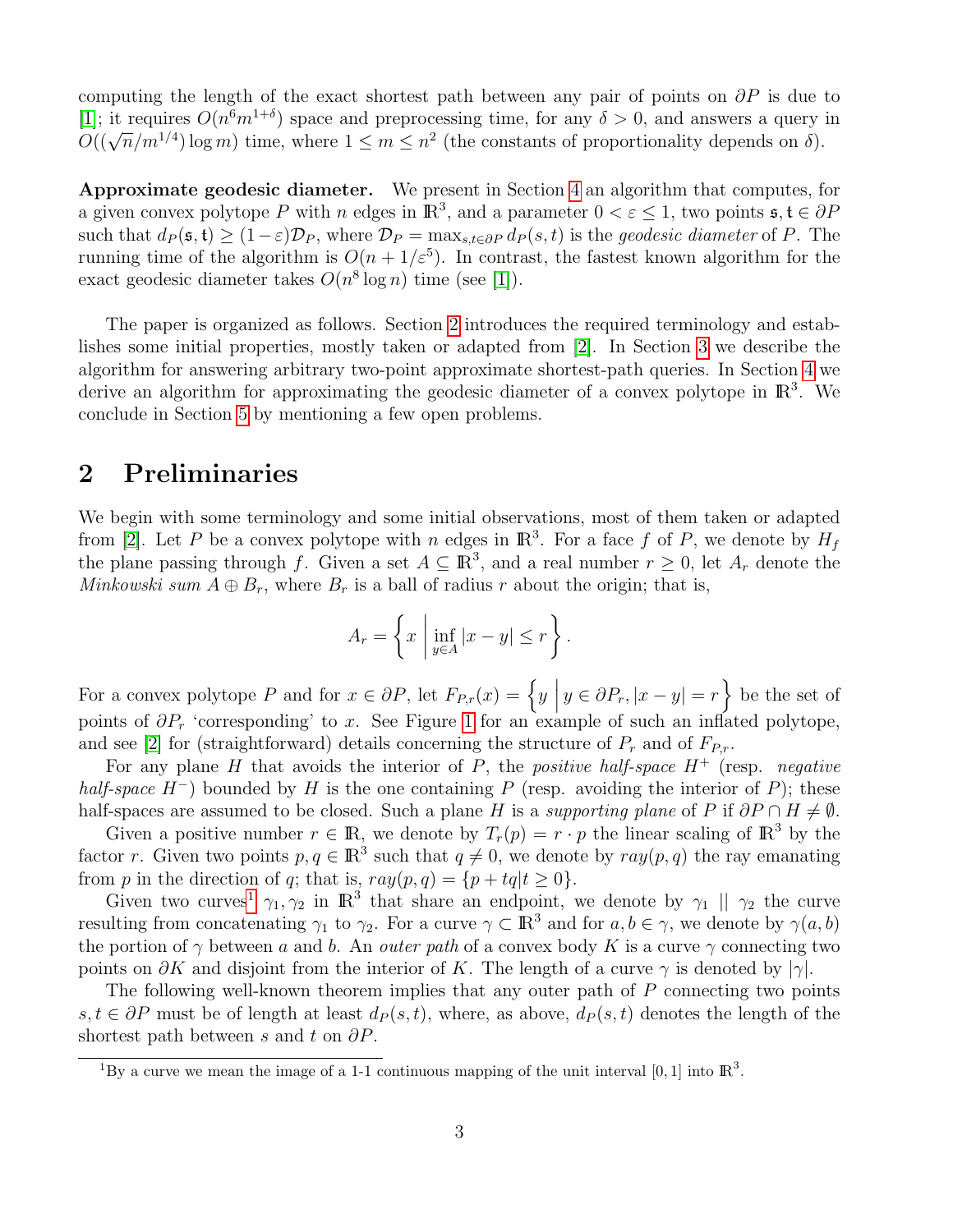computing the length of the exact shortest path between any pair of points on  $\partial P$  is due to [\[1\]](#page-13-6); it requires  $O(n^6m^{1+\delta})$  space and preprocessing time, for any  $\delta > 0$ , and answers a query in [1], it requires  $O(n^m)$  space and preprocessing time, for any  $0 > 0$ , and answers a query  $O((\sqrt{n}/m^{1/4}) \log m)$  time, where  $1 \leq m \leq n^2$  (the constants of proportionality depends on  $\delta$ ).

Approximate geodesic diameter. We present in Section [4](#page-9-0) an algorithm that computes, for a given convex polytope P with n edges in  $\mathbb{R}^3$ , and a parameter  $0 < \varepsilon \le 1$ , two points  $\mathfrak{s}, \mathfrak{t} \in \partial P$ such that  $d_P(\mathfrak{s}, \mathfrak{t}) \geq (1-\varepsilon)\mathcal{D}_P$ , where  $\mathcal{D}_P = \max_{s,t \in \partial P} d_P(s,t)$  is the *geodesic diameter* of P. The running time of the algorithm is  $O(n + 1/\varepsilon^5)$ . In contrast, the fastest known algorithm for the exact geodesic diameter takes  $O(n^8 \log n)$  time (see [\[1\]](#page-13-6)).

The paper is organized as follows. Section [2](#page-2-0) introduces the required terminology and establishes some initial properties, mostly taken or adapted from [\[2\]](#page-13-5). In Section [3](#page-3-0) we describe the algorithm for answering arbitrary two-point approximate shortest-path queries. In Section [4](#page-9-0) we derive an algorithm for approximating the geodesic diameter of a convex polytope in  $\mathbb{R}^3$ . We conclude in Section [5](#page-12-0) by mentioning a few open problems.

## <span id="page-2-0"></span>2 Preliminaries

We begin with some terminology and some initial observations, most of them taken or adapted from [\[2\]](#page-13-5). Let P be a convex polytope with n edges in  $\mathbb{R}^3$ . For a face f of P, we denote by  $H_f$ the plane passing through f. Given a set  $A \subseteq \mathbb{R}^3$ , and a real number  $r \geq 0$ , let  $A_r$  denote the Minkowski sum  $A \oplus B_r$ , where  $B_r$  is a ball of radius r about the origin; that is,

$$
A_r = \left\{ x \mid \inf_{y \in A} |x - y| \le r \right\}.
$$

For a convex polytope P and for  $x \in \partial P$ , let  $F_{P,r}(x) = \left\{ y \mid y \in \partial P_r, |x - y| = r \right\}$  be the set of points of  $\partial P_r$  'corresponding' to x. See Figure [1](#page-5-0) for an example of such an inflated polytope, and see [\[2\]](#page-13-5) for (straightforward) details concerning the structure of  $P_r$  and of  $F_{P,r}$ .

For any plane H that avoids the interior of P, the positive half-space  $H^+$  (resp. negative half-space  $H^-$ ) bounded by H is the one containing P (resp. avoiding the interior of P); these half-spaces are assumed to be closed. Such a plane H is a supporting plane of P if  $\partial P \cap H \neq \emptyset$ .

Given a positive number  $r \in \mathbb{R}$ , we denote by  $T_r(p) = r \cdot p$  the linear scaling of  $\mathbb{R}^3$  by the factor r. Given two points  $p, q \in \mathbb{R}^3$  such that  $q \neq 0$ , we denote by  $ray(p, q)$  the ray emanating from p in the direction of q; that is,  $ray(p, q) = \{p + tq | t \ge 0\}.$ 

Given two curves<sup>[1](#page-2-1)</sup>  $\gamma_1, \gamma_2$  in  $\mathbb{R}^3$  that share an endpoint, we denote by  $\gamma_1 \parallel \gamma_2$  the curve resulting from concatenating  $\gamma_1$  to  $\gamma_2$ . For a curve  $\gamma \subset \mathbb{R}^3$  and for  $a, b \in \gamma$ , we denote by  $\gamma(a, b)$ the portion of  $\gamma$  between a and b. An *outer path* of a convex body K is a curve  $\gamma$  connecting two points on  $\partial K$  and disjoint from the interior of K. The length of a curve  $\gamma$  is denoted by  $|\gamma|$ .

The following well-known theorem implies that any outer path of P connecting two points  $s, t \in \partial P$  must be of length at least  $d_P(s, t)$ , where, as above,  $d_P(s, t)$  denotes the length of the shortest path between s and t on  $\partial P$ .

<span id="page-2-2"></span><span id="page-2-1"></span><sup>&</sup>lt;sup>1</sup>By a curve we mean the image of a 1-1 continuous mapping of the unit interval [0, 1] into  $\mathbb{R}^3$ .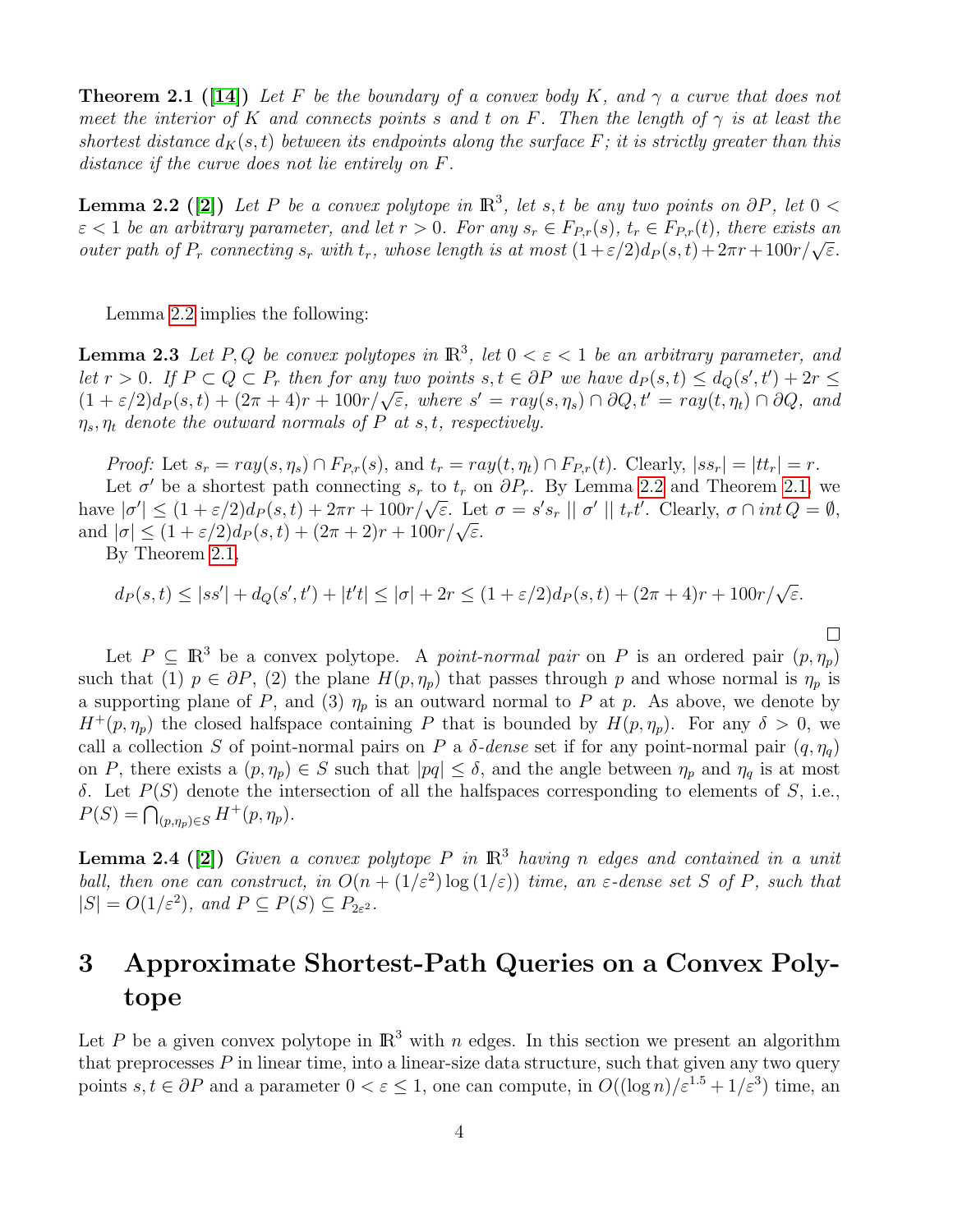**Theorem 2.1** ([\[14\]](#page-14-6)) Let F be the boundary of a convex body K, and  $\gamma$  a curve that does not meet the interior of K and connects points s and t on F. Then the length of  $\gamma$  is at least the shortest distance  $d_K(s,t)$  between its endpoints along the surface F; it is strictly greater than this distance if the curve does not lie entirely on F.

<span id="page-3-1"></span>**Lemma 2.2** ([\[2\]](#page-13-5)) Let P be a convex polytope in  $\mathbb{R}^3$ , let s, t be any two points on  $\partial P$ , let  $0 <$  $\varepsilon$  < 1 be an arbitrary parameter, and let  $r > 0$ . For any  $s_r \in F_{P,r}(s)$ ,  $t_r \in F_{P,r}(t)$ , there exists an  $\varepsilon < 1$  be an arourary parameter, and let  $t > 0$ . For any  $s_r \in T_{P,r}(s)$ ,  $t_r \in T_{P,r}(t)$ , there exists an outer path of  $P_r$  connecting  $s_r$  with  $t_r$ , whose length is at most  $(1 + \varepsilon/2)d_P(s,t) + 2\pi r + 100r/\sqrt{\varepsilon}$ .

Lemma [2.2](#page-3-1) implies the following:

<span id="page-3-3"></span>**Lemma 2.3** Let P, Q be convex polytopes in  $\mathbb{R}^3$ , let  $0 < \varepsilon < 1$  be an arbitrary parameter, and let  $r > 0$ . If  $P \subset Q \subset P_r$  then for any two points  $s, t \in \partial P$  we have  $d_P(s,t) \leq d_Q(s',t') + 2r \leq$  $\begin{array}{l}\n\text{(a)} \quad \text{(b)} \quad \text{(c)} \quad \text{(d)} \quad \text{(e)} \quad \text{(e)} \quad \text{(f)} \quad \text{(g)} \quad \text{(h)} \quad \text{(i)} \quad \text{(j)} \quad \text{(k)} \quad \text{(k)} \quad \text{(l)} \quad \text{(l)} \quad \text{(l)} \quad \text{(l)} \quad \text{(l)} \quad \text{(l)} \quad \text{(l)} \quad \text{(l)} \quad \text{(l)} \quad \text{(l)} \quad \text{(l)} \quad \text{(l)} \quad \text{(l)} \quad \text{(l)} \quad \text{(l)} \quad \text{(l)} \quad \text{(l)} \quad \text$  $\eta_s, \eta_t$  denote the outward normals of P at s, t, respectively.

*Proof:* Let  $s_r = ray(s, \eta_s) \cap F_{P,r}(s)$ , and  $t_r = ray(t, \eta_t) \cap F_{P,r}(t)$ . Clearly,  $|ss_r| = |tt_r| = r$ .

Let  $\sigma'$  be a shortest path connecting  $s_r$  to  $t_r$  on  $\partial P_r$ . By Lemma [2.2](#page-3-1) and Theorem [2.1,](#page-2-2) we Let  $\sigma$  be a shortest path connecting  $s_r$  to  $t_r$  on  $\sigma r_r$ . By Lemma 2.2 and Theorem 2.1, we<br>have  $|\sigma'| \leq (1+\varepsilon/2)d_P(s,t) + 2\pi r + 100r/\sqrt{\varepsilon}$ . Let  $\sigma = s's_r || \sigma' || t_r t'$ . Clearly,  $\sigma \cap int Q = \emptyset$ , have  $|0| \le (1 + \varepsilon/2)dp(s, t) + 2\pi r + 100r/\sqrt{\varepsilon}$ . Let<br>and  $|\sigma| \le (1 + \varepsilon/2)d_P(s, t) + (2\pi + 2)r + 100r/\sqrt{\varepsilon}$ .

By Theorem [2.1,](#page-2-2)

$$
d_P(s,t) \le |ss'| + d_Q(s',t') + |t't| \le |\sigma| + 2r \le (1+\varepsilon/2)d_P(s,t) + (2\pi+4)r + 100r/\sqrt{\varepsilon}.
$$

 $\Box$ 

Let  $P \subseteq \mathbb{R}^3$  be a convex polytope. A *point-normal pair* on P is an ordered pair  $(p, \eta_p)$ such that (1)  $p \in \partial P$ , (2) the plane  $H(p, \eta_p)$  that passes through p and whose normal is  $\eta_p$  is a supporting plane of P, and (3)  $\eta_p$  is an outward normal to P at p. As above, we denote by  $H^+(p,\eta_p)$  the closed halfspace containing P that is bounded by  $H(p,\eta_p)$ . For any  $\delta > 0$ , we call a collection S of point-normal pairs on P a  $\delta$ -dense set if for any point-normal pair  $(q, \eta_q)$ on P, there exists a  $(p, \eta_p) \in S$  such that  $|pq| \leq \delta$ , and the angle between  $\eta_p$  and  $\eta_q$  is at most δ. Let  $P(S)$  denote the intersection of all the halfspaces corresponding to elements of S, i.e.,  $P(S) = \bigcap_{(p,\eta_p)\in S} H^+(p,\eta_p).$ 

<span id="page-3-2"></span>**Lemma 2.4 (2)**) Given a convex polytope P in  $\mathbb{R}^3$  having n edges and contained in a unit ball, then one can construct, in  $O(n + (1/\varepsilon^2) \log(1/\varepsilon))$  time, an  $\varepsilon$ -dense set S of P, such that  $|S| = O(1/\varepsilon^2)$ , and  $P \subseteq P(S) \subseteq P_{2\varepsilon^2}$ .

# <span id="page-3-0"></span>3 Approximate Shortest-Path Queries on a Convex Polytope

Let P be a given convex polytope in  $\mathbb{R}^3$  with n edges. In this section we present an algorithm that preprocesses  $P$  in linear time, into a linear-size data structure, such that given any two query points  $s, t \in \partial P$  and a parameter  $0 < \varepsilon \leq 1$ , one can compute, in  $O((\log n)/\varepsilon^{1.5} + 1/\varepsilon^3)$  time, an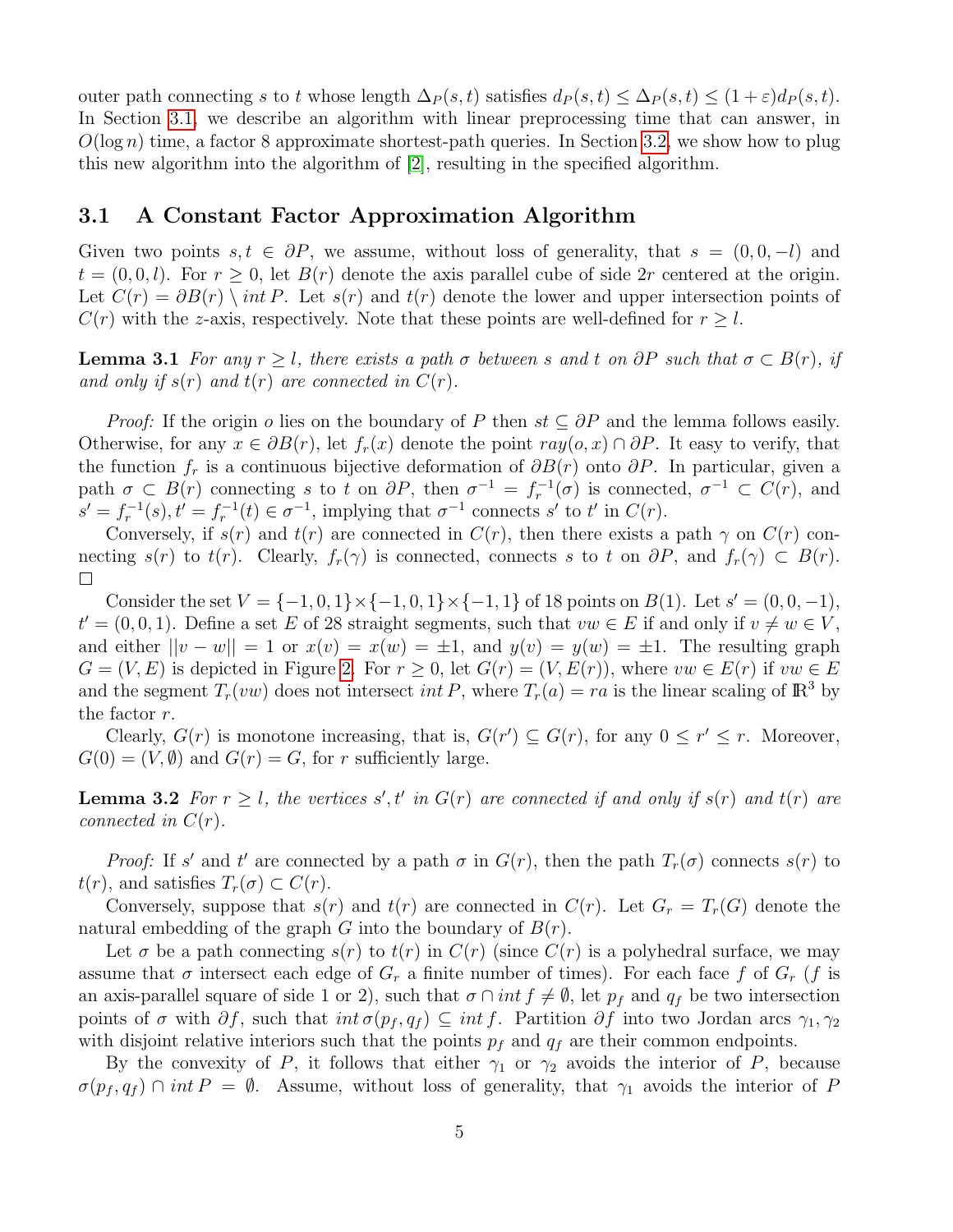outer path connecting s to t whose length  $\Delta_P(s,t)$  satisfies  $d_P(s,t) \leq \Delta_P(s,t) \leq (1+\varepsilon)d_P(s,t)$ . In Section [3.1,](#page-4-0) we describe an algorithm with linear preprocessing time that can answer, in  $O(\log n)$  time, a factor 8 approximate shortest-path queries. In Section [3.2,](#page-8-0) we show how to plug this new algorithm into the algorithm of [\[2\]](#page-13-5), resulting in the specified algorithm.

#### <span id="page-4-0"></span>3.1 A Constant Factor Approximation Algorithm

Given two points  $s, t \in \partial P$ , we assume, without loss of generality, that  $s = (0, 0, -l)$  and  $t = (0, 0, l)$ . For  $r \geq 0$ , let  $B(r)$  denote the axis parallel cube of side 2r centered at the origin. Let  $C(r) = \partial B(r) \setminus int P$ . Let  $s(r)$  and  $t(r)$  denote the lower and upper intersection points of  $C(r)$  with the z-axis, respectively. Note that these points are well-defined for  $r \geq l$ .

<span id="page-4-2"></span>**Lemma 3.1** For any  $r \geq l$ , there exists a path  $\sigma$  between s and t on  $\partial P$  such that  $\sigma \subset B(r)$ , if and only if  $s(r)$  and  $t(r)$  are connected in  $C(r)$ .

*Proof:* If the origin o lies on the boundary of P then  $st \subseteq \partial P$  and the lemma follows easily. Otherwise, for any  $x \in \partial B(r)$ , let  $f_r(x)$  denote the point  $ray(o, x) \cap \partial P$ . It easy to verify, that the function  $f_r$  is a continuous bijective deformation of  $\partial B(r)$  onto  $\partial P$ . In particular, given a path  $\sigma \subset B(r)$  connecting s to t on  $\partial P$ , then  $\sigma^{-1} = f_r^{-1}(\sigma)$  is connected,  $\sigma^{-1} \subset C(r)$ , and  $s' = f_r^{-1}(s), t' = f_r^{-1}(t) \in \sigma^{-1}$ , implying that  $\sigma^{-1}$  connects s' to t' in  $C(r)$ .

Conversely, if  $s(r)$  and  $t(r)$  are connected in  $C(r)$ , then there exists a path  $\gamma$  on  $C(r)$  connecting  $s(r)$  to  $t(r)$ . Clearly,  $f_r(\gamma)$  is connected, connects s to t on  $\partial P$ , and  $f_r(\gamma) \subset B(r)$ .  $\Box$ 

Consider the set  $V = \{-1, 0, 1\} \times \{-1, 0, 1\} \times \{-1, 1\}$  of 18 points on  $B(1)$ . Let  $s' = (0, 0, -1)$ ,  $t' = (0, 0, 1)$ . Define a set E of 28 straight segments, such that  $vw \in E$  if and only if  $v \neq w \in V$ , and either  $||v - w|| = 1$  or  $x(v) = x(w) = \pm 1$ , and  $y(v) = y(w) = \pm 1$ . The resulting graph  $G = (V, E)$  is depicted in Figure [2.](#page-5-1) For  $r > 0$ , let  $G(r) = (V, E(r))$ , where  $vw \in E(r)$  if  $vw \in E$ and the segment  $T_r(vw)$  does not intersect *int* P, where  $T_r(a) = ra$  is the linear scaling of  $\mathbb{R}^3$  by the factor r.

Clearly,  $G(r)$  is monotone increasing, that is,  $G(r') \subseteq G(r)$ , for any  $0 \leq r' \leq r$ . Moreover,  $G(0) = (V, \emptyset)$  and  $G(r) = G$ , for r sufficiently large.

<span id="page-4-1"></span>**Lemma 3.2** For  $r \geq l$ , the vertices s', t' in  $G(r)$  are connected if and only if  $s(r)$  and  $t(r)$  are connected in  $C(r)$ .

*Proof:* If s' and t' are connected by a path  $\sigma$  in  $G(r)$ , then the path  $T_r(\sigma)$  connects  $s(r)$  to  $t(r)$ , and satisfies  $T_r(\sigma) \subset C(r)$ .

Conversely, suppose that  $s(r)$  and  $t(r)$  are connected in  $C(r)$ . Let  $G_r = T_r(G)$  denote the natural embedding of the graph G into the boundary of  $B(r)$ .

Let  $\sigma$  be a path connecting  $s(r)$  to  $t(r)$  in  $C(r)$  (since  $C(r)$  is a polyhedral surface, we may assume that  $\sigma$  intersect each edge of  $G_r$  a finite number of times). For each face f of  $G_r$  (f is an axis-parallel square of side 1 or 2), such that  $\sigma \cap int f \neq \emptyset$ , let  $p_f$  and  $q_f$  be two intersection points of  $\sigma$  with  $\partial f$ , such that  $int \sigma(p_f, q_f) \subseteq int f$ . Partition  $\partial f$  into two Jordan arcs  $\gamma_1, \gamma_2$ with disjoint relative interiors such that the points  $p_f$  and  $q_f$  are their common endpoints.

By the convexity of P, it follows that either  $\gamma_1$  or  $\gamma_2$  avoids the interior of P, because  $\sigma(p_f, q_f) \cap int P = \emptyset$ . Assume, without loss of generality, that  $\gamma_1$  avoids the interior of P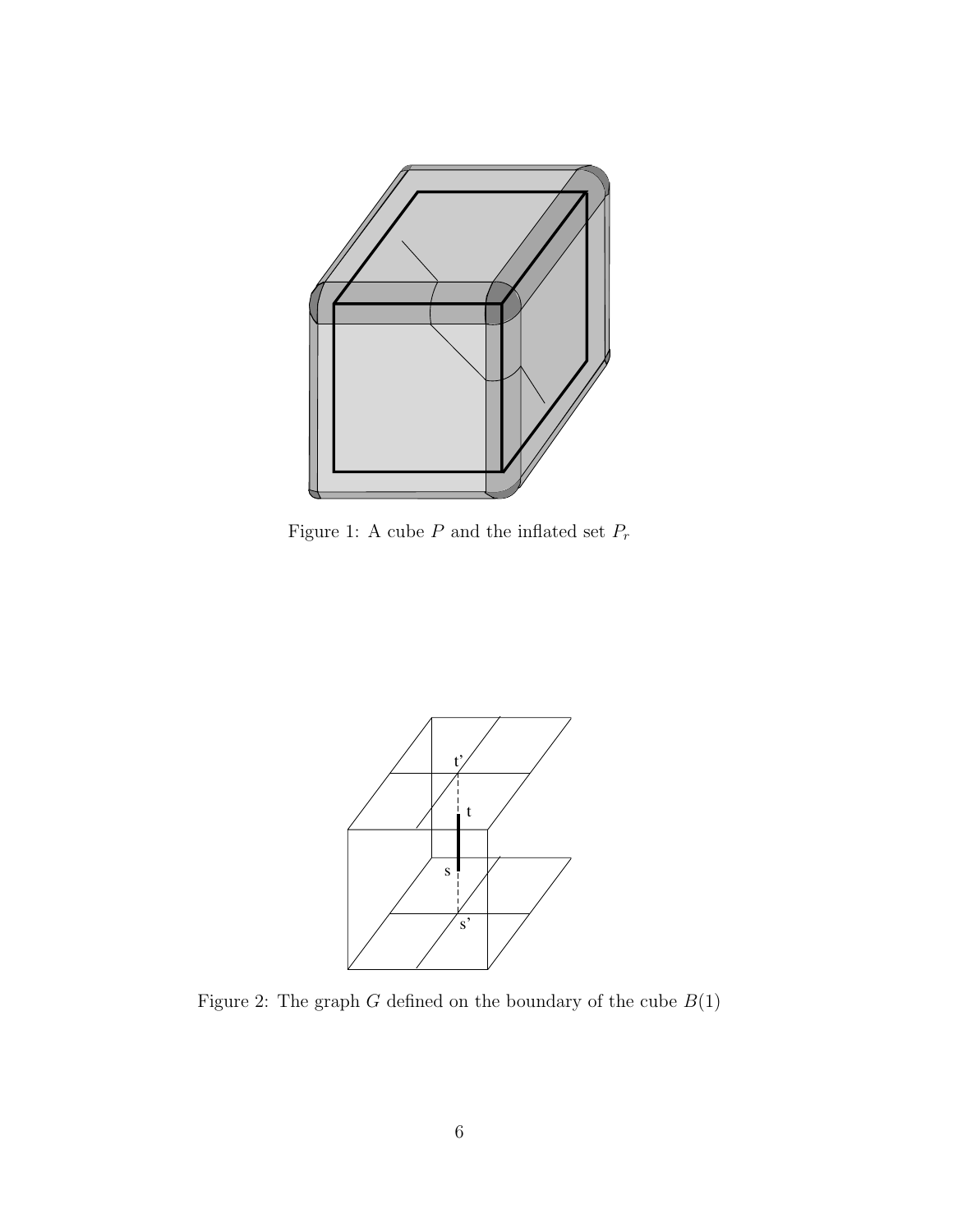

<span id="page-5-0"></span>Figure 1: A cube  ${\cal P}$  and the inflated set  ${\cal P}_r$ 



<span id="page-5-1"></span>Figure 2: The graph  $G$  defined on the boundary of the cube  $\mathcal{B}(1)$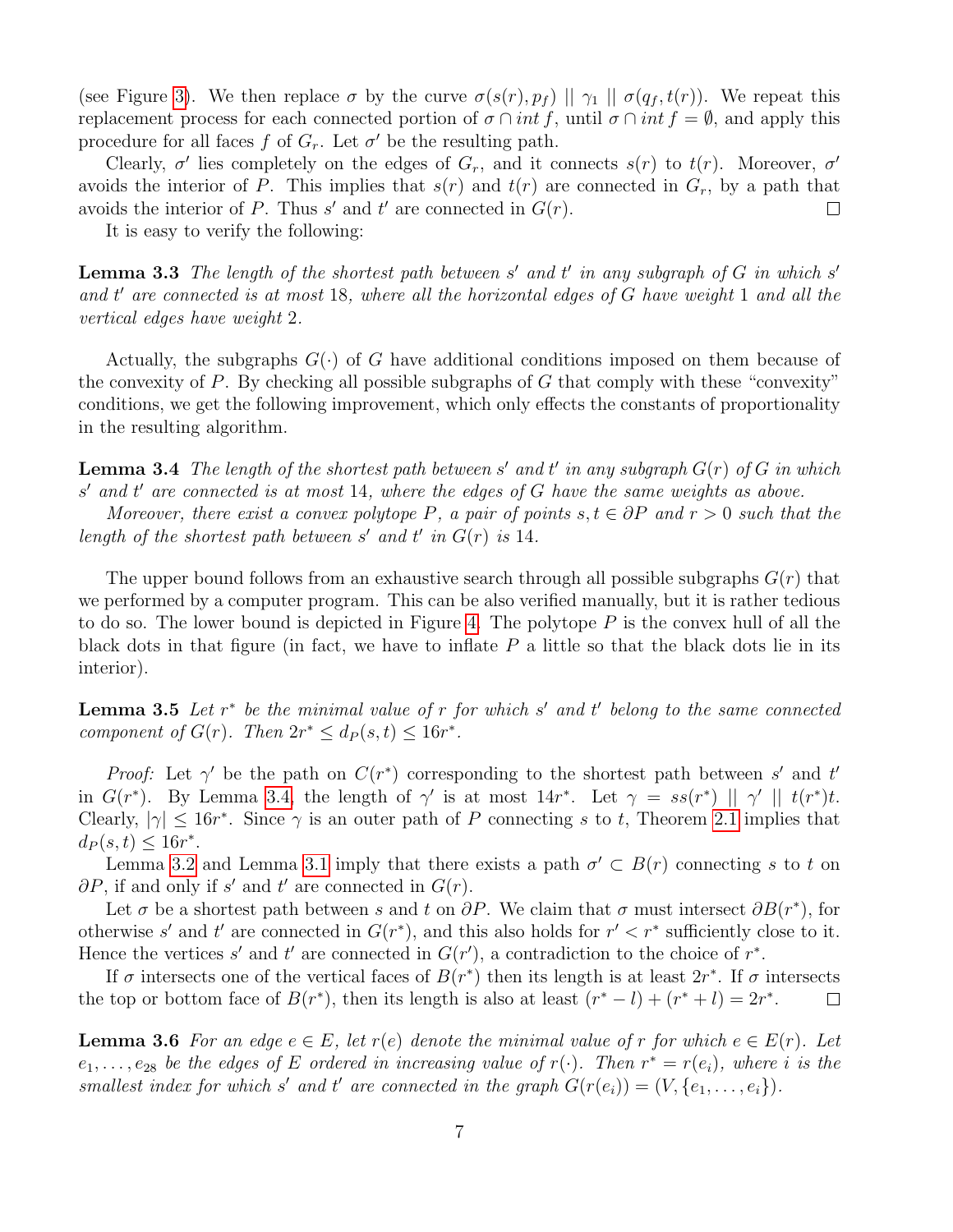(see Figure [3\)](#page-7-0). We then replace  $\sigma$  by the curve  $\sigma(s(r), p_f) \mid \mid \gamma_1 \mid \mid \sigma(q_f, t(r))$ . We repeat this replacement process for each connected portion of  $\sigma \cap int f$ , until  $\sigma \cap int f = \emptyset$ , and apply this procedure for all faces f of  $G_r$ . Let  $\sigma'$  be the resulting path.

Clearly,  $\sigma'$  lies completely on the edges of  $G_r$ , and it connects  $s(r)$  to  $t(r)$ . Moreover,  $\sigma'$ avoids the interior of P. This implies that  $s(r)$  and  $t(r)$  are connected in  $G_r$ , by a path that avoids the interior of P. Thus  $s'$  and  $t'$  are connected in  $G(r)$ .  $\Box$ 

It is easy to verify the following:

**Lemma 3.3** The length of the shortest path between s' and t' in any subgraph of  $G$  in which s' and  $t'$  are connected is at most 18, where all the horizontal edges of  $G$  have weight 1 and all the vertical edges have weight 2.

Actually, the subgraphs  $G(\cdot)$  of G have additional conditions imposed on them because of the convexity of P. By checking all possible subgraphs of G that comply with these "convexity" conditions, we get the following improvement, which only effects the constants of proportionality in the resulting algorithm.

<span id="page-6-0"></span>**Lemma 3.4** The length of the shortest path between s' and t' in any subgraph  $G(r)$  of G in which  $s'$  and  $t'$  are connected is at most 14, where the edges of  $G$  have the same weights as above.

Moreover, there exist a convex polytope P, a pair of points  $s, t \in \partial P$  and  $r > 0$  such that the length of the shortest path between s' and t' in  $G(r)$  is 14.

The upper bound follows from an exhaustive search through all possible subgraphs  $G(r)$  that we performed by a computer program. This can be also verified manually, but it is rather tedious to do so. The lower bound is depicted in Figure [4.](#page-7-1) The polytope  $P$  is the convex hull of all the black dots in that figure (in fact, we have to inflate  $P$  a little so that the black dots lie in its interior).

<span id="page-6-2"></span>**Lemma 3.5** Let  $r^*$  be the minimal value of r for which s' and t' belong to the same connected component of  $G(r)$ . Then  $2r^* \leq d_P(s,t) \leq 16r^*$ .

*Proof:* Let  $\gamma'$  be the path on  $C(r^*)$  corresponding to the shortest path between s' and t' in  $G(r^*)$ . By Lemma [3.4,](#page-6-0) the length of  $\gamma'$  is at most  $14r^*$ . Let  $\gamma = ss(r^*) \mid \mid \gamma' \mid \mid t(r^*)t$ . Clearly,  $|\gamma| \leq 16r^*$ . Since  $\gamma$  is an outer path of P connecting s to t, Theorem [2.1](#page-2-2) implies that  $d_P(s,t) \le 16r^*$ .

Lemma [3.2](#page-4-1) and Lemma [3.1](#page-4-2) imply that there exists a path  $\sigma' \subset B(r)$  connecting s to t on  $\partial P$ , if and only if s' and t' are connected in  $G(r)$ .

Let  $\sigma$  be a shortest path between s and t on  $\partial P$ . We claim that  $\sigma$  must intersect  $\partial B(r^*)$ , for otherwise s' and t' are connected in  $G(r^*)$ , and this also holds for  $r' < r^*$  sufficiently close to it. Hence the vertices s' and t' are connected in  $G(r')$ , a contradiction to the choice of  $r^*$ .

If  $\sigma$  intersects one of the vertical faces of  $B(r^*)$  then its length is at least  $2r^*$ . If  $\sigma$  intersects the top or bottom face of  $B(r^*)$ , then its length is also at least  $(r^*-l) + (r^*+l) = 2r^*$ .  $\Box$ 

<span id="page-6-1"></span>**Lemma 3.6** For an edge  $e \in E$ , let  $r(e)$  denote the minimal value of r for which  $e \in E(r)$ . Let  $e_1, \ldots, e_{28}$  be the edges of E ordered in increasing value of  $r(\cdot)$ . Then  $r^* = r(e_i)$ , where i is the smallest index for which s' and t' are connected in the graph  $G(r(e_i)) = (V, \{e_1, \ldots, e_i\}).$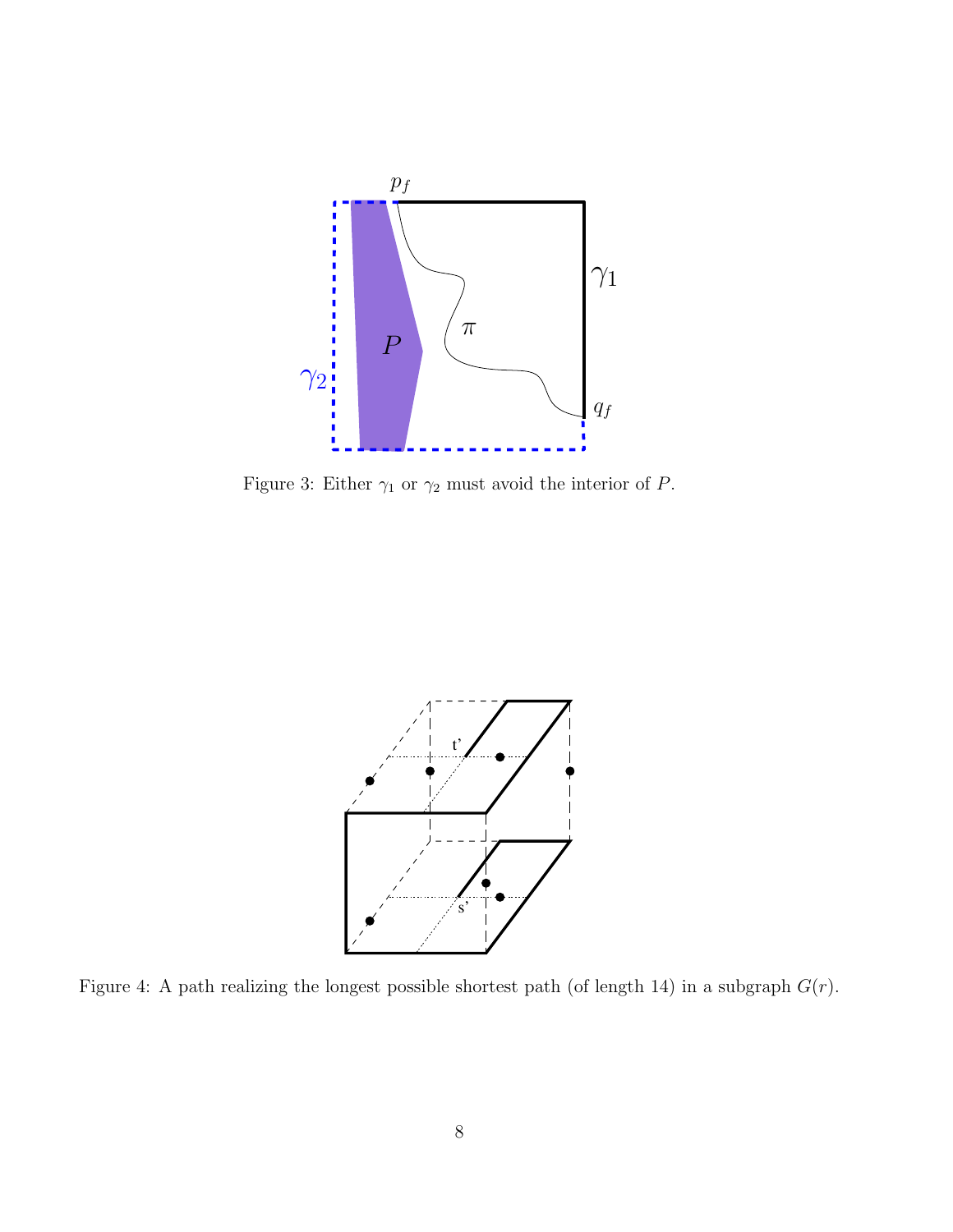

<span id="page-7-0"></span>Figure 3: Either  $\gamma_1$  or  $\gamma_2$  must avoid the interior of P.



<span id="page-7-1"></span>Figure 4: A path realizing the longest possible shortest path (of length 14) in a subgraph  $G(r)$ .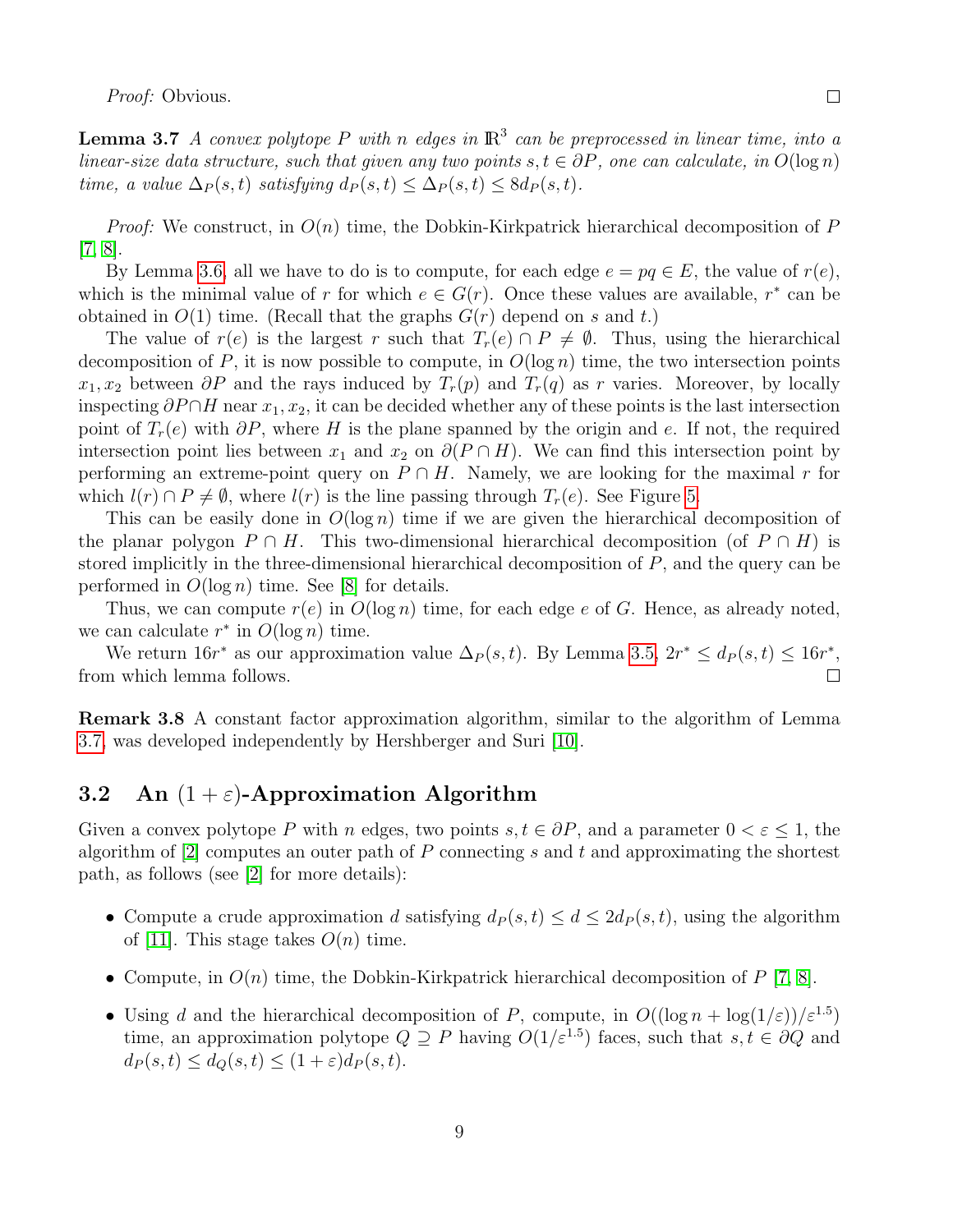Proof: Obvious.

<span id="page-8-1"></span>**Lemma 3.7** A convex polytope P with n edges in  $\mathbb{R}^3$  can be preprocessed in linear time, into a linear-size data structure, such that given any two points  $s, t \in \partial P$ , one can calculate, in  $O(\log n)$ time, a value  $\Delta_P(s,t)$  satisfying  $d_P(s,t) \leq \Delta_P(s,t) \leq 8d_P(s,t)$ .

*Proof:* We construct, in  $O(n)$  time, the Dobkin-Kirkpatrick hierarchical decomposition of P [\[7,](#page-13-7) [8\]](#page-13-8).

By Lemma [3.6,](#page-6-1) all we have to do is to compute, for each edge  $e = pq \in E$ , the value of  $r(e)$ , which is the minimal value of r for which  $e \in G(r)$ . Once these values are available, r<sup>\*</sup> can be obtained in  $O(1)$  time. (Recall that the graphs  $G(r)$  depend on s and t.)

The value of  $r(e)$  is the largest r such that  $T_r(e) \cap P \neq \emptyset$ . Thus, using the hierarchical decomposition of P, it is now possible to compute, in  $O(\log n)$  time, the two intersection points  $x_1, x_2$  between  $\partial P$  and the rays induced by  $T_r(p)$  and  $T_r(q)$  as r varies. Moreover, by locally inspecting  $\partial P \cap H$  near  $x_1, x_2$ , it can be decided whether any of these points is the last intersection point of  $T_r(e)$  with  $\partial P$ , where H is the plane spanned by the origin and e. If not, the required intersection point lies between  $x_1$  and  $x_2$  on  $\partial(P \cap H)$ . We can find this intersection point by performing an extreme-point query on  $P \cap H$ . Namely, we are looking for the maximal r for which  $l(r) \cap P \neq \emptyset$ , where  $l(r)$  is the line passing through  $T_r(e)$ . See Figure [5.](#page-11-0)

This can be easily done in  $O(\log n)$  time if we are given the hierarchical decomposition of the planar polygon  $P \cap H$ . This two-dimensional hierarchical decomposition (of  $P \cap H$ ) is stored implicitly in the three-dimensional hierarchical decomposition of P, and the query can be performed in  $O(\log n)$  time. See [\[8\]](#page-13-8) for details.

Thus, we can compute  $r(e)$  in  $O(\log n)$  time, for each edge e of G. Hence, as already noted, we can calculate  $r^*$  in  $O(\log n)$  time.

We return  $16r^*$  as our approximation value  $\Delta_P(s,t)$ . By Lemma [3.5,](#page-6-2)  $2r^* \leq d_P(s,t) \leq 16r^*$ , from which lemma follows. П

Remark 3.8 A constant factor approximation algorithm, similar to the algorithm of Lemma [3.7,](#page-8-1) was developed independently by Hershberger and Suri [\[10\]](#page-13-9).

## <span id="page-8-0"></span>3.2 An  $(1+\varepsilon)$ -Approximation Algorithm

Given a convex polytope P with n edges, two points  $s, t \in \partial P$ , and a parameter  $0 < \varepsilon \leq 1$ , the algorithm of  $[2]$  computes an outer path of P connecting s and t and approximating the shortest path, as follows (see [\[2\]](#page-13-5) for more details):

- Compute a crude approximation d satisfying  $d_P(s, t) \leq d \leq 2d_P(s, t)$ , using the algorithm of [\[11\]](#page-14-5). This stage takes  $O(n)$  time.
- Compute, in  $O(n)$  time, the Dobkin-Kirkpatrick hierarchical decomposition of P [\[7,](#page-13-7) [8\]](#page-13-8).
- Using d and the hierarchical decomposition of P, compute, in  $O((\log n + \log(1/\varepsilon))/\varepsilon^{1.5})$ time, an approximation polytope  $Q \supseteq P$  having  $O(1/\varepsilon^{1.5})$  faces, such that  $s, t \in \partial Q$  and  $d_P(s,t) \leq d_O(s,t) \leq (1+\varepsilon)d_P(s,t).$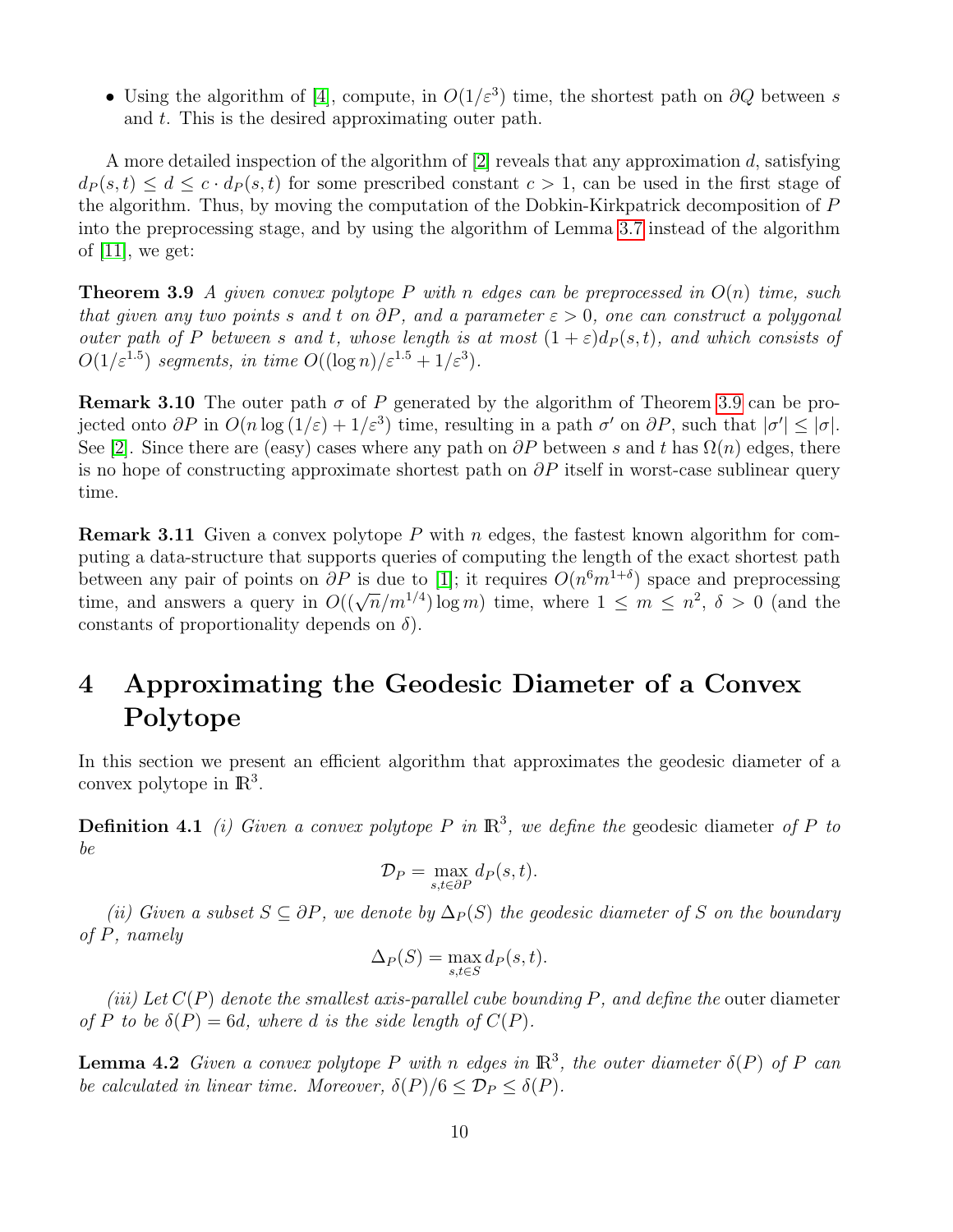• Using the algorithm of [\[4\]](#page-13-4), compute, in  $O(1/\varepsilon^3)$  time, the shortest path on  $\partial Q$  between s and t. This is the desired approximating outer path.

A more detailed inspection of the algorithm of  $[2]$  reveals that any approximation d, satisfying  $d_P(s,t) \leq d \leq c \cdot d_P(s,t)$  for some prescribed constant  $c > 1$ , can be used in the first stage of the algorithm. Thus, by moving the computation of the Dobkin-Kirkpatrick decomposition of P into the preprocessing stage, and by using the algorithm of Lemma [3.7](#page-8-1) instead of the algorithm of  $[11]$ , we get:

<span id="page-9-1"></span>**Theorem 3.9** A given convex polytope P with n edges can be preprocessed in  $O(n)$  time, such that given any two points s and t on  $\partial P$ , and a parameter  $\varepsilon > 0$ , one can construct a polygonal outer path of P between s and t, whose length is at most  $(1+\varepsilon)d_P(s,t)$ , and which consists of  $O(1/\varepsilon^{1.5})$  segments, in time  $O((\log n)/\varepsilon^{1.5} + 1/\varepsilon^3)$ .

**Remark 3.10** The outer path  $\sigma$  of P generated by the algorithm of Theorem [3.9](#page-9-1) can be projected onto  $\partial P$  in  $O(n \log(1/\varepsilon) + 1/\varepsilon^3)$  time, resulting in a path  $\sigma'$  on  $\partial P$ , such that  $|\sigma'| \leq |\sigma|$ . See [\[2\]](#page-13-5). Since there are (easy) cases where any path on  $\partial P$  between s and t has  $\Omega(n)$  edges, there is no hope of constructing approximate shortest path on  $\partial P$  itself in worst-case sublinear query time.

**Remark 3.11** Given a convex polytope P with n edges, the fastest known algorithm for computing a data-structure that supports queries of computing the length of the exact shortest path between any pair of points on  $\partial P$  is due to [\[1\]](#page-13-6); it requires  $O(n^6m^{1+\delta})$  space and preprocessing between any pair of points on *or* is due to [1], it requires  $O(n|m|)$  space and preprocessing<br>time, and answers a query in  $O((\sqrt{n}/m^{1/4}) \log m)$  time, where  $1 \le m \le n^2$ ,  $\delta > 0$  (and the constants of proportionality depends on  $\delta$ ).

# <span id="page-9-0"></span>4 Approximating the Geodesic Diameter of a Convex Polytope

In this section we present an efficient algorithm that approximates the geodesic diameter of a convex polytope in  $\mathbb{R}^3$ .

**Definition 4.1** (i) Given a convex polytope P in  $\mathbb{R}^3$ , we define the geodesic diameter of P to be

$$
\mathcal{D}_P = \max_{s,t \in \partial P} d_P(s,t).
$$

(ii) Given a subset  $S \subseteq \partial P$ , we denote by  $\Delta_P(S)$  the geodesic diameter of S on the boundary of P, namely

$$
\Delta_P(S) = \max_{s,t \in S} d_P(s,t).
$$

(iii) Let  $C(P)$  denote the smallest axis-parallel cube bounding P, and define the outer diameter of P to be  $\delta(P) = 6d$ , where d is the side length of  $C(P)$ .

<span id="page-9-2"></span>**Lemma 4.2** Given a convex polytope P with n edges in  $\mathbb{R}^3$ , the outer diameter  $\delta(P)$  of P can be calculated in linear time. Moreover,  $\delta(P)/6 \leq \mathcal{D}_P \leq \delta(P)$ .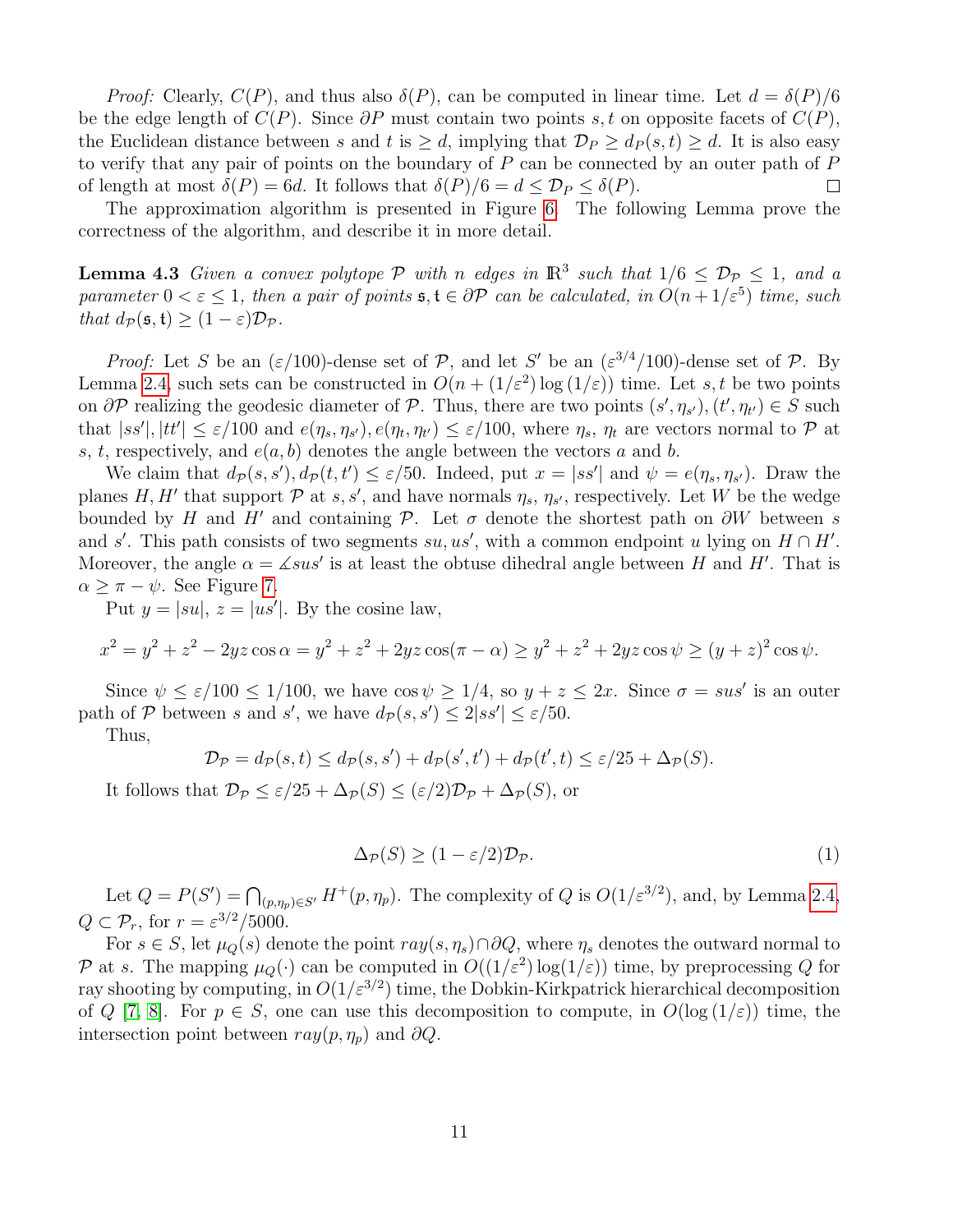*Proof:* Clearly,  $C(P)$ , and thus also  $\delta(P)$ , can be computed in linear time. Let  $d = \delta(P)/6$ be the edge length of  $C(P)$ . Since  $\partial P$  must contain two points s, t on opposite facets of  $C(P)$ , the Euclidean distance between s and t is  $\geq d$ , implying that  $\mathcal{D}_P \geq d_P(s,t) \geq d$ . It is also easy to verify that any pair of points on the boundary of  $P$  can be connected by an outer path of  $P$ of length at most  $\delta(P) = 6d$ . It follows that  $\delta(P)/6 = d \leq \mathcal{D}_P \leq \delta(P)$ .  $\Box$ 

The approximation algorithm is presented in Figure [6.](#page-11-1) The following Lemma prove the correctness of the algorithm, and describe it in more detail.

<span id="page-10-1"></span>**Lemma 4.3** Given a convex polytope  $P$  with n edges in  $\mathbb{R}^3$  such that  $1/6 \leq D_P \leq 1$ , and a parameter  $0 < \varepsilon \leq 1$ , then a pair of points  $\mathfrak{s}, \mathfrak{t} \in \partial \mathcal{P}$  can be calculated, in  $O(n + 1/\varepsilon^5)$  time, such that  $d_{\mathcal{P}}(\mathfrak{s}, \mathfrak{t}) > (1 - \varepsilon) \mathcal{D}_{\mathcal{P}}$ .

*Proof:* Let S be an  $(\varepsilon/100)$ -dense set of P, and let S' be an  $(\varepsilon^{3/4}/100)$ -dense set of P. By Lemma [2.4,](#page-3-2) such sets can be constructed in  $O(n + (1/\varepsilon^2) \log(1/\varepsilon))$  time. Let s, t be two points on  $\partial \mathcal{P}$  realizing the geodesic diameter of  $\mathcal{P}$ . Thus, there are two points  $(s', \eta_{s'}), (t', \eta_{t'}) \in S$  such that  $|ss'|, |tt'| \leq \varepsilon/100$  and  $e(\eta_s, \eta_{s'})$ ,  $e(\eta_t, \eta_{t'}) \leq \varepsilon/100$ , where  $\eta_s$ ,  $\eta_t$  are vectors normal to  $\mathcal{P}$  at s, t, respectively, and  $e(a, b)$  denotes the angle between the vectors a and b.

We claim that  $d_{\mathcal{P}}(s, s')$ ,  $d_{\mathcal{P}}(t, t') \leq \varepsilon/50$ . Indeed, put  $x = |ss'|$  and  $\psi = e(\eta_s, \eta_{s'})$ . Draw the planes H, H' that support  $P$  at s, s', and have normals  $\eta_s$ ,  $\eta_{s'}$ , respectively. Let W be the wedge bounded by H and H' and containing P. Let  $\sigma$  denote the shortest path on  $\partial W$  between s and s'. This path consists of two segments su, us', with a common endpoint u lying on  $H \cap H'$ . Moreover, the angle  $\alpha = \angle sus'$  is at least the obtuse dihedral angle between H and H'. That is  $\alpha > \pi - \psi$ . See Figure [7.](#page-15-0)

Put  $y = |su|, z = |us'|$ . By the cosine law,

$$
x^{2} = y^{2} + z^{2} - 2yz \cos \alpha = y^{2} + z^{2} + 2yz \cos(\pi - \alpha) \ge y^{2} + z^{2} + 2yz \cos \psi \ge (y + z)^{2} \cos \psi.
$$

Since  $\psi \leq \varepsilon/100 \leq 1/100$ , we have  $\cos \psi \geq 1/4$ , so  $y + z \leq 2x$ . Since  $\sigma = sus'$  is an outer path of P between s and s', we have  $d_p(s, s') \leq 2|ss'| \leq \varepsilon/50$ .

Thus,

$$
\mathcal{D}_{\mathcal{P}} = d_{\mathcal{P}}(s, t) \leq d_{\mathcal{P}}(s, s') + d_{\mathcal{P}}(s', t') + d_{\mathcal{P}}(t', t) \leq \varepsilon/25 + \Delta_{\mathcal{P}}(S).
$$

It follows that  $\mathcal{D}_{\mathcal{P}} \leq \varepsilon/25 + \Delta_{\mathcal{P}}(S) \leq (\varepsilon/2)\mathcal{D}_{\mathcal{P}} + \Delta_{\mathcal{P}}(S)$ , or

<span id="page-10-0"></span>
$$
\Delta_{\mathcal{P}}(S) \ge (1 - \varepsilon/2) \mathcal{D}_{\mathcal{P}}.\tag{1}
$$

Let  $Q = P(S') = \bigcap_{(p,\eta_p)\in S'} H^+(p,\eta_p)$ . The complexity of Q is  $O(1/\varepsilon^{3/2})$ , and, by Lemma [2.4,](#page-3-2)  $Q \subset \mathcal{P}_r$ , for  $r = \varepsilon^{3/2} / 5000$ .

For  $s \in S$ , let  $\mu_Q(s)$  denote the point  $ray(s, \eta_s) \cap \partial Q$ , where  $\eta_s$  denotes the outward normal to P at s. The mapping  $\mu_Q(\cdot)$  can be computed in  $O((1/\varepsilon^2) \log(1/\varepsilon))$  time, by preprocessing Q for ray shooting by computing, in  $O(1/\varepsilon^{3/2})$  time, the Dobkin-Kirkpatrick hierarchical decomposition of Q [\[7,](#page-13-7) [8\]](#page-13-8). For  $p \in S$ , one can use this decomposition to compute, in  $O(\log(1/\varepsilon))$  time, the intersection point between  $ray(p, \eta_p)$  and  $\partial Q$ .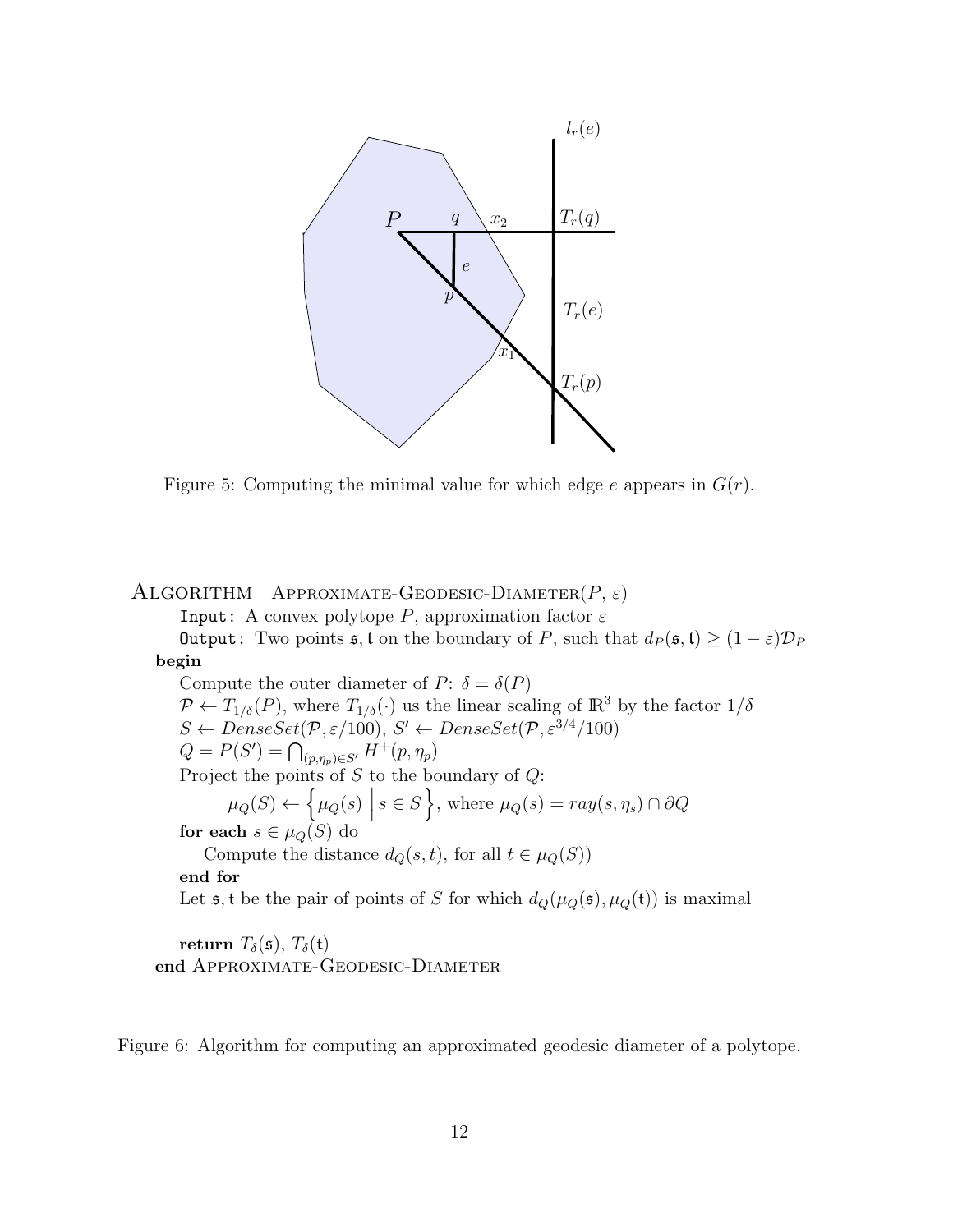

<span id="page-11-0"></span>Figure 5: Computing the minimal value for which edge  $e$  appears in  $G(r)$ .

#### ALGORITHM APPROXIMATE-GEODESIC-DIAMETER $(P, \varepsilon)$

Input: A convex polytope P, approximation factor  $\varepsilon$ 

Output: Two points  $\mathfrak{s}$ , t on the boundary of P, such that  $d_P(\mathfrak{s}, \mathfrak{t}) \geq (1 - \varepsilon) \mathcal{D}_P$ begin

Compute the outer diameter of P:  $\delta = \delta(P)$  $\mathcal{P} \leftarrow T_{1/\delta}(P)$ , where  $T_{1/\delta}(\cdot)$  us the linear scaling of  $\mathbb{R}^3$  by the factor  $1/\delta$  $S \leftarrow DenseSet(\mathcal{P}, \varepsilon/100), S' \leftarrow DenseSet(\mathcal{P}, \varepsilon^{3/4}/100)$  $Q = P(S') = \bigcap_{(p,\eta_p)\in S'} H^+(p,\eta_p)$ Project the points of S to the boundary of Q:  $\mu_Q(S) \leftarrow \left\{ \mu_Q(s) \middle|$  $s \in S$ , where  $\mu_Q(s) = ray(s, \eta_s) \cap \partial Q$ for each  $s \in \mu_Q(S)$  do Compute the distance  $d_Q(s, t)$ , for all  $t \in \mu_Q(S)$ ) end for Let  $\mathfrak{s}$ ,  $\mathfrak{t}$  be the pair of points of S for which  $d_Q(\mu_Q(\mathfrak{s}), \mu_Q(\mathfrak{t}))$  is maximal

return  $T_{\delta}(\mathfrak{s}), T_{\delta}(\mathfrak{t})$ end APPROXIMATE-GEODESIC-DIAMETER

<span id="page-11-1"></span>Figure 6: Algorithm for computing an approximated geodesic diameter of a polytope.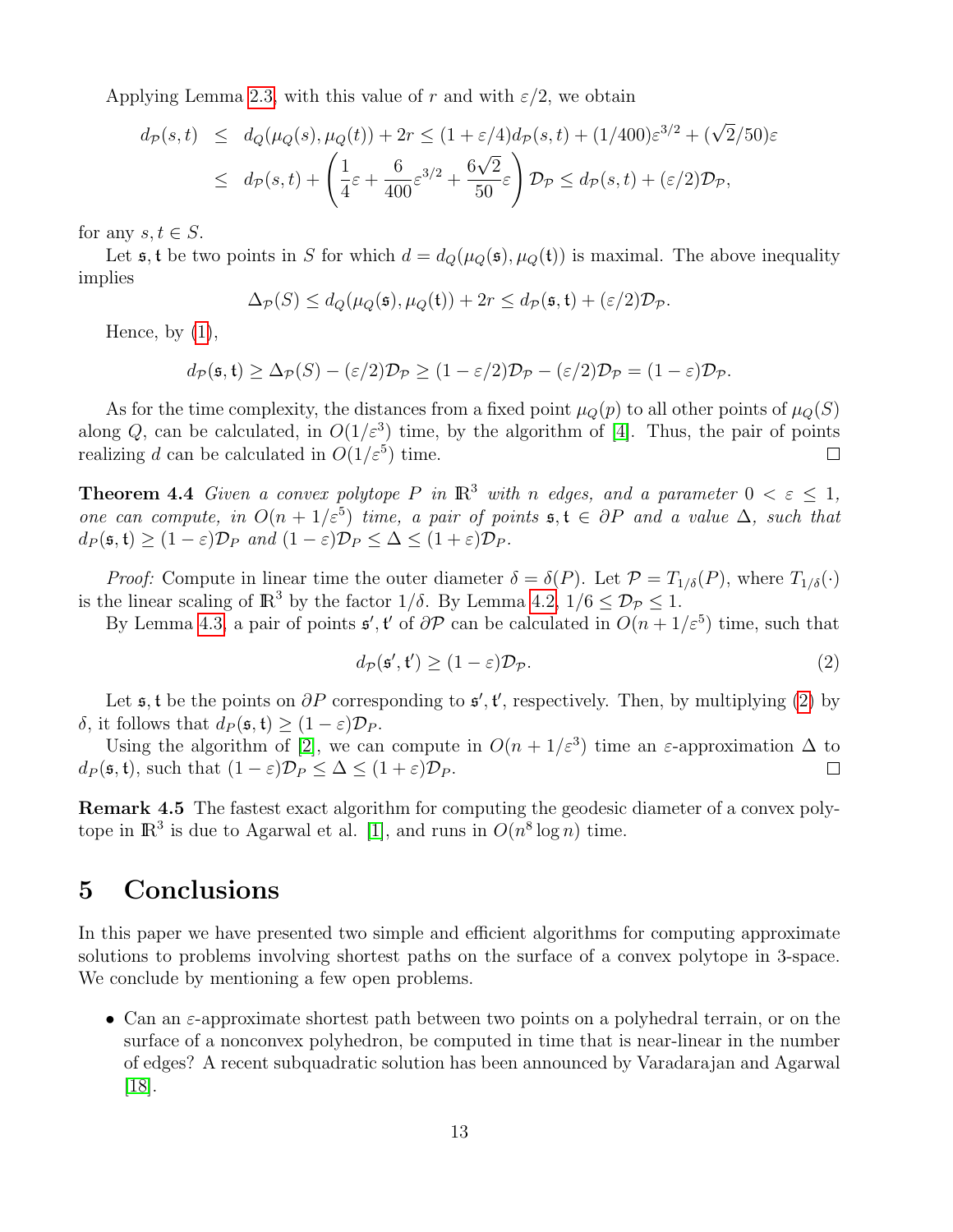Applying Lemma [2.3,](#page-3-3) with this value of r and with  $\varepsilon/2$ , we obtain

$$
d_{\mathcal{P}}(s,t) \leq d_{Q}(\mu_{Q}(s), \mu_{Q}(t)) + 2r \leq (1+\varepsilon/4)d_{\mathcal{P}}(s,t) + (1/400)\varepsilon^{3/2} + (\sqrt{2}/50)\varepsilon
$$
  

$$
\leq d_{\mathcal{P}}(s,t) + \left(\frac{1}{4}\varepsilon + \frac{6}{400}\varepsilon^{3/2} + \frac{6\sqrt{2}}{50}\varepsilon\right)\mathcal{D}_{\mathcal{P}} \leq d_{\mathcal{P}}(s,t) + (\varepsilon/2)\mathcal{D}_{\mathcal{P}},
$$

for any  $s, t \in S$ .

Let  $\mathfrak{s}$ , t be two points in S for which  $d = d_Q(\mu_Q(\mathfrak{s}), \mu_Q(\mathfrak{t}))$  is maximal. The above inequality implies

$$
\Delta_{\mathcal{P}}(S) \le d_Q(\mu_Q(\mathfrak{s}), \mu_Q(\mathfrak{t})) + 2r \le d_{\mathcal{P}}(\mathfrak{s}, \mathfrak{t}) + (\varepsilon/2) \mathcal{D}_{\mathcal{P}}.
$$

Hence, by  $(1)$ ,

$$
d_{\mathcal{P}}(\mathfrak{s},\mathfrak{t}) \geq \Delta_{\mathcal{P}}(S) - (\varepsilon/2)\mathcal{D}_{\mathcal{P}} \geq (1-\varepsilon/2)\mathcal{D}_{\mathcal{P}} - (\varepsilon/2)\mathcal{D}_{\mathcal{P}} = (1-\varepsilon)\mathcal{D}_{\mathcal{P}}.
$$

As for the time complexity, the distances from a fixed point  $\mu_Q(p)$  to all other points of  $\mu_Q(S)$ along Q, can be calculated, in  $O(1/\varepsilon^3)$  time, by the algorithm of [\[4\]](#page-13-4). Thus, the pair of points realizing d can be calculated in  $O(1/\varepsilon^5)$  time.  $\Box$ 

**Theorem 4.4** Given a convex polytope P in  $\mathbb{R}^3$  with n edges, and a parameter  $0 < \varepsilon \leq 1$ , one can compute, in  $O(n + 1/\varepsilon^5)$  time, a pair of points  $\mathfrak{s}, \mathfrak{t} \in \partial P$  and a value  $\Delta$ , such that  $d_P(\mathfrak{s}, \mathfrak{t}) \geq (1 - \varepsilon) \mathcal{D}_P$  and  $(1 - \varepsilon) \mathcal{D}_P \leq \Delta \leq (1 + \varepsilon) \mathcal{D}_P$ .

*Proof:* Compute in linear time the outer diameter  $\delta = \delta(P)$ . Let  $\mathcal{P} = T_{1/\delta}(P)$ , where  $T_{1/\delta}(\cdot)$ is the linear scaling of  $\mathbb{R}^3$  by the factor  $1/\delta$ . By Lemma [4.2,](#page-9-2)  $1/6 \leq \mathcal{D}_{\mathcal{P}} \leq 1$ .

By Lemma [4.3,](#page-10-1) a pair of points  $\mathfrak{s}'$ ,  $\mathfrak{t}'$  of  $\partial \mathcal{P}$  can be calculated in  $O(n + 1/\varepsilon^5)$  time, such that

<span id="page-12-1"></span>
$$
d_{\mathcal{P}}(\mathfrak{s}', \mathfrak{t}') \ge (1 - \varepsilon) \mathcal{D}_{\mathcal{P}}.\tag{2}
$$

Let  $\mathfrak{s}, \mathfrak{t}$  be the points on  $\partial P$  corresponding to  $\mathfrak{s}', \mathfrak{t}'$ , respectively. Then, by multiplying [\(2\)](#page-12-1) by δ, it follows that  $d_P$  ( $\mathfrak{s}, \mathfrak{t}$ ) ≥ (1 −  $\varepsilon$ ) $\mathcal{D}_P$ .

Using the algorithm of [\[2\]](#page-13-5), we can compute in  $O(n + 1/\varepsilon^3)$  time an  $\varepsilon$ -approximation  $\Delta$  to  $d_P(\mathfrak{s}, \mathfrak{t})$ , such that  $(1 - \varepsilon)\mathcal{D}_P \leq \Delta \leq (1 + \varepsilon)\mathcal{D}_P$ .  $\Box$ 

Remark 4.5 The fastest exact algorithm for computing the geodesic diameter of a convex polytope in  $\mathbb{R}^3$  is due to Agarwal et al. [\[1\]](#page-13-6), and runs in  $O(n^8 \log n)$  time.

## <span id="page-12-0"></span>5 Conclusions

In this paper we have presented two simple and efficient algorithms for computing approximate solutions to problems involving shortest paths on the surface of a convex polytope in 3-space. We conclude by mentioning a few open problems.

• Can an  $\varepsilon$ -approximate shortest path between two points on a polyhedral terrain, or on the surface of a nonconvex polyhedron, be computed in time that is near-linear in the number of edges? A recent subquadratic solution has been announced by Varadarajan and Agarwal [\[18\]](#page-14-7).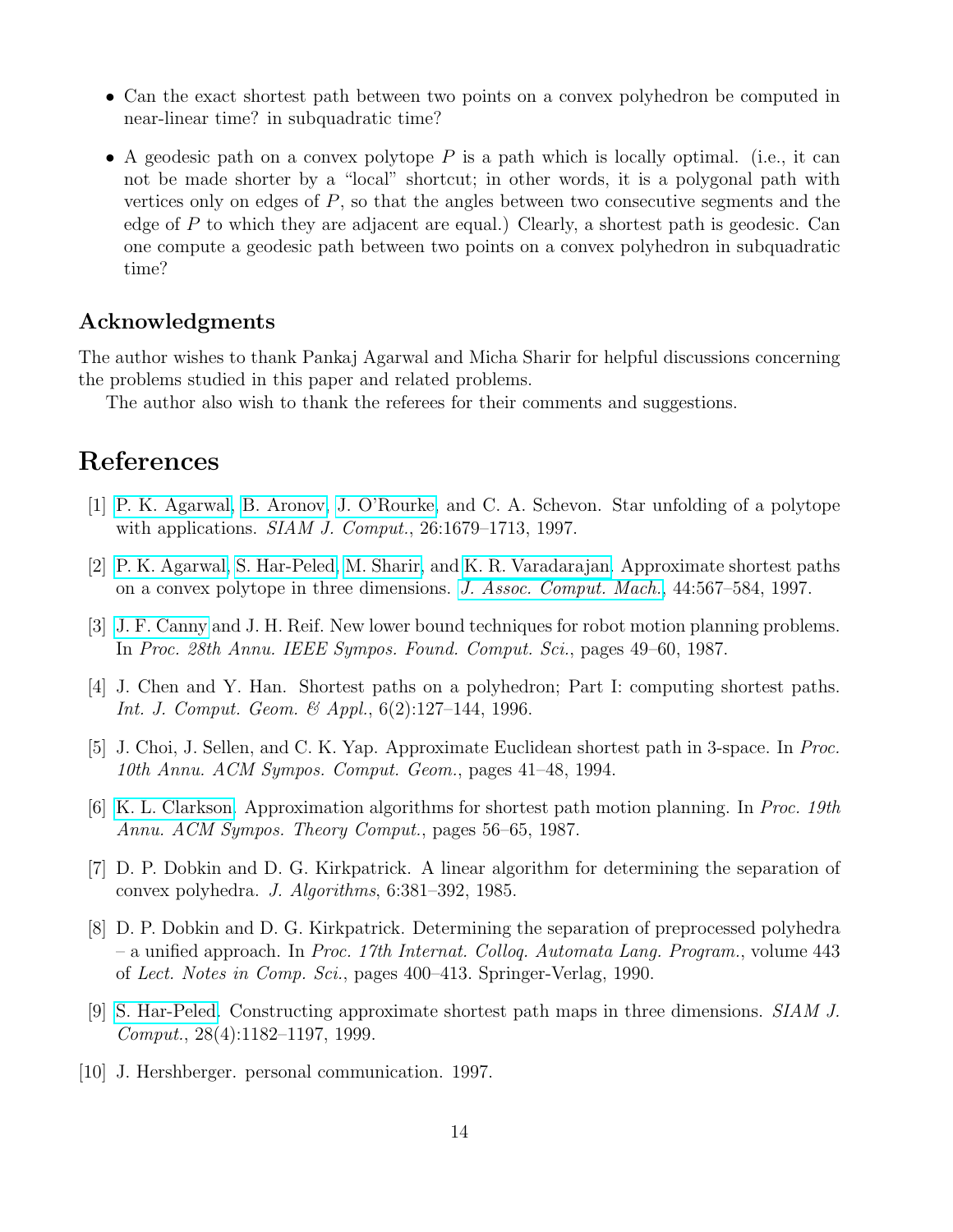- Can the exact shortest path between two points on a convex polyhedron be computed in near-linear time? in subquadratic time?
- A geodesic path on a convex polytope  $P$  is a path which is locally optimal. (i.e., it can not be made shorter by a "local" shortcut; in other words, it is a polygonal path with vertices only on edges of  $P$ , so that the angles between two consecutive segments and the edge of P to which they are adjacent are equal.) Clearly, a shortest path is geodesic. Can one compute a geodesic path between two points on a convex polyhedron in subquadratic time?

### Acknowledgments

The author wishes to thank Pankaj Agarwal and Micha Sharir for helpful discussions concerning the problems studied in this paper and related problems.

The author also wish to thank the referees for their comments and suggestions.

# References

- <span id="page-13-6"></span>[1] [P. K. Agarwal,](http://www.cs.duke.edu/~pankaj) [B. Aronov,](http://cis.poly.edu/~aronov/) [J. O'Rourke,](http://cs.smith.edu/~orourke/) and C. A. Schevon. Star unfolding of a polytope with applications. *SIAM J. Comput.*, 26:1679–1713, 1997.
- <span id="page-13-5"></span>[2] [P. K. Agarwal,](http://www.cs.duke.edu/~pankaj) [S. Har-Peled,](http://www.uiuc.edu/~sariel) [M. Sharir,](http://www.math.tau.ac.il/~michas) and [K. R. Varadarajan.](http://www.cs.uiowa.edu/~kvaradar/) Approximate shortest paths on a convex polytope in three dimensions. [J. Assoc. Comput. Mach.](http://www.acm.org/jacm/), 44:567–584, 1997.
- <span id="page-13-0"></span>[3] [J. F. Canny](http://www.cs.berkeley.edu/~jfc/) and J. H. Reif. New lower bound techniques for robot motion planning problems. In Proc. 28th Annu. IEEE Sympos. Found. Comput. Sci., pages 49–60, 1987.
- <span id="page-13-4"></span>[4] J. Chen and Y. Han. Shortest paths on a polyhedron; Part I: computing shortest paths. Int. J. Comput. Geom. & Appl., 6(2):127–144, 1996.
- <span id="page-13-1"></span>[5] J. Choi, J. Sellen, and C. K. Yap. Approximate Euclidean shortest path in 3-space. In Proc. 10th Annu. ACM Sympos. Comput. Geom., pages 41–48, 1994.
- <span id="page-13-2"></span>[6] [K. L. Clarkson.](http://cm.bell-labs.com/who/clarkson/) Approximation algorithms for shortest path motion planning. In Proc. 19th Annu. ACM Sympos. Theory Comput., pages 56–65, 1987.
- <span id="page-13-7"></span>[7] D. P. Dobkin and D. G. Kirkpatrick. A linear algorithm for determining the separation of convex polyhedra. J. Algorithms, 6:381–392, 1985.
- <span id="page-13-8"></span>[8] D. P. Dobkin and D. G. Kirkpatrick. Determining the separation of preprocessed polyhedra – a unified approach. In Proc. 17th Internat. Colloq. Automata Lang. Program., volume 443 of Lect. Notes in Comp. Sci., pages 400–413. Springer-Verlag, 1990.
- <span id="page-13-3"></span>[9] [S. Har-Peled.](http://www.uiuc.edu/~sariel) Constructing approximate shortest path maps in three dimensions. SIAM J. Comput., 28(4):1182–1197, 1999.
- <span id="page-13-9"></span>[10] J. Hershberger. personal communication. 1997.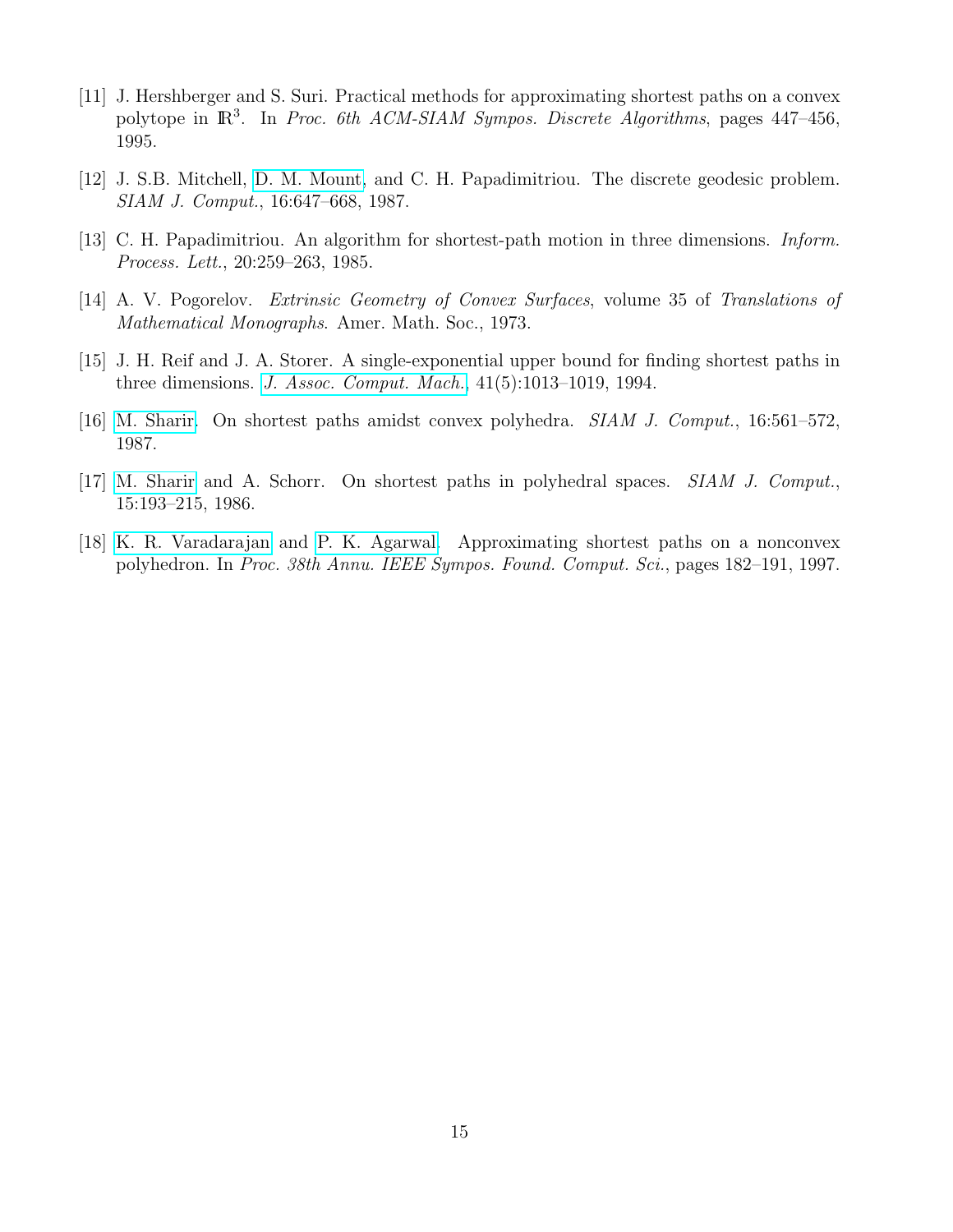- <span id="page-14-5"></span>[11] J. Hershberger and S. Suri. Practical methods for approximating shortest paths on a convex polytope in  $\mathbb{R}^3$ . In Proc. 6th ACM-SIAM Sympos. Discrete Algorithms, pages 447–456, 1995.
- <span id="page-14-4"></span>[12] J. S.B. Mitchell, [D. M. Mount,](http://www.cs.umd.edu/~mount/) and C. H. Papadimitriou. The discrete geodesic problem. SIAM J. Comput., 16:647–668, 1987.
- <span id="page-14-2"></span>[13] C. H. Papadimitriou. An algorithm for shortest-path motion in three dimensions. Inform. Process. Lett., 20:259–263, 1985.
- <span id="page-14-6"></span>[14] A. V. Pogorelov. Extrinsic Geometry of Convex Surfaces, volume 35 of Translations of Mathematical Monographs. Amer. Math. Soc., 1973.
- <span id="page-14-0"></span>[15] J. H. Reif and J. A. Storer. A single-exponential upper bound for finding shortest paths in three dimensions. [J. Assoc. Comput. Mach.](http://www.acm.org/jacm/), 41(5):1013–1019, 1994.
- <span id="page-14-1"></span>[16] [M. Sharir.](http://www.math.tau.ac.il/~michas) On shortest paths amidst convex polyhedra. SIAM J. Comput., 16:561–572, 1987.
- <span id="page-14-3"></span>[17] [M. Sharir](http://www.math.tau.ac.il/~michas) and A. Schorr. On shortest paths in polyhedral spaces. SIAM J. Comput., 15:193–215, 1986.
- <span id="page-14-7"></span>[18] [K. R. Varadarajan](http://www.cs.uiowa.edu/~kvaradar/) and [P. K. Agarwal.](http://www.cs.duke.edu/~pankaj) Approximating shortest paths on a nonconvex polyhedron. In Proc. 38th Annu. IEEE Sympos. Found. Comput. Sci., pages 182–191, 1997.